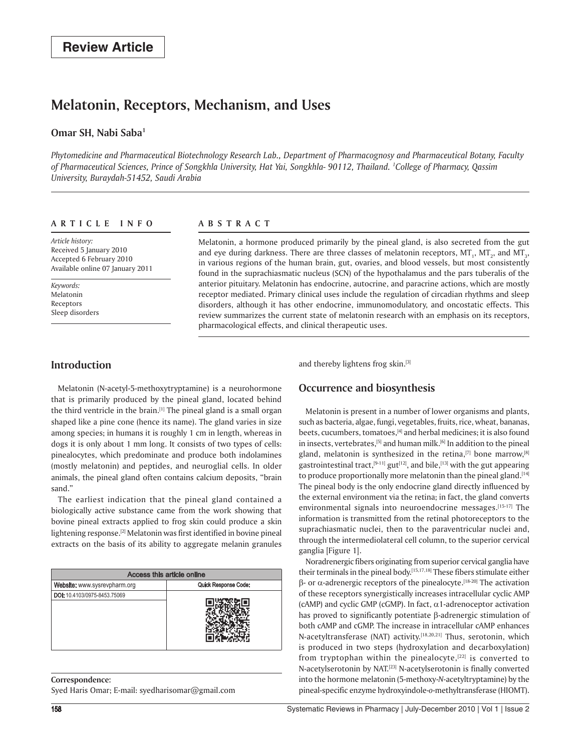# **Melatonin, Receptors, Mechanism, and Uses**

# **Omar SH, Nabi Saba1**

*Phytomedicine and Pharmaceutical Biotechnology Research Lab., Department of Pharmacognosy and Pharmaceutical Botany, Faculty of Pharmaceutical Sciences, Prince of Songkhla University, Hat Yai, Songkhla- 90112, Thailand. 1 College of Pharmacy, Qassim University, Buraydah-51452, Saudi Arabia*

### **ar t ic l e i n f o**

*Article history:*  Received 5 January 2010 Accepted 6 February 2010 Available online 07 January 2011

*Keywords:*  Melatonin Receptors Sleep disorders

### **A bs t rac t**

Melatonin, a hormone produced primarily by the pineal gland, is also secreted from the gut and eye during darkness. There are three classes of melatonin receptors, MT<sub>1</sub>, MT<sub>2</sub>, and MT<sub>3</sub>, in various regions of the human brain, gut, ovaries, and blood vessels, but most consistently found in the suprachiasmatic nucleus (SCN) of the hypothalamus and the pars tuberalis of the anterior pituitary. Melatonin has endocrine, autocrine, and paracrine actions, which are mostly receptor mediated. Primary clinical uses include the regulation of circadian rhythms and sleep disorders, although it has other endocrine, immunomodulatory, and oncostatic effects. This review summarizes the current state of melatonin research with an emphasis on its receptors, pharmacological effects, and clinical therapeutic uses.

# **Introduction**

Melatonin (N-acetyl-5-methoxytryptamine) is a neurohormone that is primarily produced by the pineal gland, located behind the third ventricle in the brain.<sup>[1]</sup> The pineal gland is a small organ shaped like a pine cone (hence its name). The gland varies in size among species; in humans it is roughly 1 cm in length, whereas in dogs it is only about 1 mm long. It consists of two types of cells: pinealocytes, which predominate and produce both indolamines (mostly melatonin) and peptides, and neuroglial cells. In older animals, the pineal gland often contains calcium deposits, "brain sand."

The earliest indication that the pineal gland contained a biologically active substance came from the work showing that bovine pineal extracts applied to frog skin could produce a skin lightening response.<sup>[2]</sup> Melatonin was first identified in bovine pineal extracts on the basis of its ability to aggregate melanin granules

| Access this article online   |                      |  |  |  |
|------------------------------|----------------------|--|--|--|
| Website: www.sysrevpharm.org | Quick Response Code: |  |  |  |
| DOI: 10.4103/0975-8453.75069 |                      |  |  |  |
|                              |                      |  |  |  |
|                              |                      |  |  |  |

**Correspondence:** Syed Haris Omar; E-mail: syedharisomar@gmail.com and thereby lightens frog skin.[3]

# **Occurrence and biosynthesis**

Melatonin is present in a number of lower organisms and plants, such as bacteria, algae, fungi, vegetables, fruits, rice, wheat, bananas, beets, cucumbers, tomatoes, <a>[4]</a> and herbal medicines; it is also found in insects, vertebrates,<sup>[5]</sup> and human milk.<sup>[6]</sup> In addition to the pineal gland, melatonin is synthesized in the retina,<sup>[7]</sup> bone marrow,<sup>[8]</sup> gastrointestinal tract,  $[9-11]$  gut $[12]$ , and bile,  $[13]$  with the gut appearing to produce proportionally more melatonin than the pineal gland.<sup>[14]</sup> The pineal body is the only endocrine gland directly influenced by the external environment via the retina; in fact, the gland converts environmental signals into neuroendocrine messages.<sup>[15-17]</sup> The information is transmitted from the retinal photoreceptors to the suprachiasmatic nuclei, then to the paraventricular nuclei and, through the intermediolateral cell column, to the superior cervical ganglia [Figure 1].

Noradrenergic fibers originating from superior cervical ganglia have their terminals in the pineal body.[15,17,18] These fibers stimulate either  $β$ - or α-adrenergic receptors of the pinealocyte.<sup>[18-20]</sup> The activation of these receptors synergistically increases intracellular cyclic AMP (cAMP) and cyclic GMP (cGMP). In fact,  $\alpha$ 1-adrenoceptor activation has proved to significantly potentiate β-adrenergic stimulation of both cAMP and cGMP. The increase in intracellular cAMP enhances N-acetyltransferase (NAT) activity.<sup>[18,20,21]</sup> Thus, serotonin, which is produced in two steps (hydroxylation and decarboxylation) from tryptophan within the pinealocyte, $[22]$  is converted to N-acetylserotonin by NAT.[23] N-acetylserotonin is finally converted into the hormone melatonin (5-methoxy-*N*-acetyltryptamine) by the pineal-specific enzyme hydroxyindole-*o*-methyltransferase (HIOMT).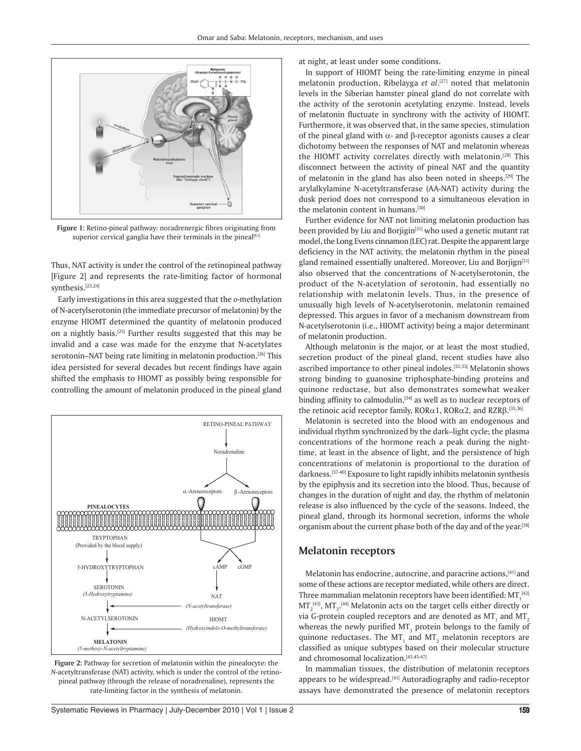

**Figure 1:** Retino-pineal pathway: noradrenergic fibres originating from superior cervical ganglia have their terminals in the pineal[61]

Thus, NAT activity is under the control of the retinopineal pathway [Figure 2] and represents the rate-limiting factor of hormonal synthesis.[23,24]

Early investigations in this area suggested that the *o*-methylation of N-acetylserotonin (the immediate precursor of melatonin) by the enzyme HIOMT determined the quantity of melatonin produced on a nightly basis.[25] Further results suggested that this may be invalid and a case was made for the enzyme that N-acetylates serotonin–NAT being rate limiting in melatonin production.<sup>[26]</sup> This idea persisted for several decades but recent findings have again shifted the emphasis to HIOMT as possibly being responsible for controlling the amount of melatonin produced in the pineal gland



**Figure 2:** Pathway for secretion of melatonin within the pinealocyte: the *N*-acetyltransferase (NAT) activity, which is under the control of the retinopineal pathway (through the release of noradrenaline), represents the rate-limiting factor in the synthesis of melatonin.

at night, at least under some conditions.

In support of HIOMT being the rate-limiting enzyme in pineal melatonin production, Ribelayga *et al*. [27] noted that melatonin levels in the Siberian hamster pineal gland do not correlate with the activity of the serotonin acetylating enzyme. Instead, levels of melatonin fluctuate in synchrony with the activity of HIOMT. Furthermore, it was observed that, in the same species, stimulation of the pineal gland with  $\alpha$ - and  $\beta$ -receptor agonists causes a clear dichotomy between the responses of NAT and melatonin whereas the HIOMT activity correlates directly with melatonin.<sup>[28]</sup> This disconnect between the activity of pineal NAT and the quantity of melatonin in the gland has also been noted in sheeps.[29] The arylalkylamine N-acetyltransferase (AA-NAT) activity during the dusk period does not correspond to a simultaneous elevation in the melatonin content in humans.<sup>[30]</sup>

Further evidence for NAT not limiting melatonin production has been provided by Liu and Borjigin<sup>[31]</sup> who used a genetic mutant rat model, the Long Evens cinnamon (LEC) rat. Despite the apparent large deficiency in the NAT activity, the melatonin rhythm in the pineal gland remained essentially unaltered. Moreover, Liu and Borjign<sup>[31]</sup> also observed that the concentrations of N-acetylserotonin, the product of the N-acetylation of serotonin, had essentially no relationship with melatonin levels. Thus, in the presence of unusually high levels of N-acetylserotonin, melatonin remained depressed. This argues in favor of a mechanism downstream from N-acetylserotonin (i.e., HIOMT activity) being a major determinant of melatonin production.

Although melatonin is the major, or at least the most studied, secretion product of the pineal gland, recent studies have also ascribed importance to other pineal indoles.<sup>[32,33]</sup> Melatonin shows strong binding to guanosine triphosphate-binding proteins and quinone reductase, but also demonstrates somewhat weaker binding affinity to calmodulin, $[34]$  as well as to nuclear receptors of the retinoic acid receptor family,  $\mathsf{ROR}\alpha$ 1,  $\mathsf{ROR}\alpha$ 2, and  $\mathsf{RZR}\beta$ .[35,36]

Melatonin is secreted into the blood with an endogenous and individual rhythm synchronized by the dark–light cycle; the plasma concentrations of the hormone reach a peak during the nighttime, at least in the absence of light, and the persistence of high concentrations of melatonin is proportional to the duration of darkness.[37-40] Exposure to light rapidly inhibits melatonin synthesis by the epiphysis and its secretion into the blood. Thus, because of changes in the duration of night and day, the rhythm of melatonin release is also influenced by the cycle of the seasons. Indeed, the pineal gland, through its hormonal secretion, informs the whole organism about the current phase both of the day and of the year.[38]

### **Melatonin receptors**

Melatonin has endocrine, autocrine, and paracrine actions,[41] and some of these actions are receptor mediated, while others are direct. Three mammalian melatonin receptors have been identified: M $\mathrm{T_i}^{\text{[42]}}$  $MT_2^{^{[43]}}, MT_3^{^{[44]}}$  Melatonin acts on the target cells either directly or via G-protein coupled receptors and are denoted as MT $_{\rm_1}$  and MT $_{\rm_2}$ whereas the newly purified MT $_{\rm_3}$  protein belongs to the family of quinone reductases. The MT<sub>1</sub> and MT<sub>2</sub> melatonin receptors are classified as unique subtypes based on their molecular structure and chromosomal localization.[43,45-47]

In mammalian tissues, the distribution of melatonin receptors appears to be widespread.<sup>[41]</sup> Autoradiography and radio-receptor assays have demonstrated the presence of melatonin receptors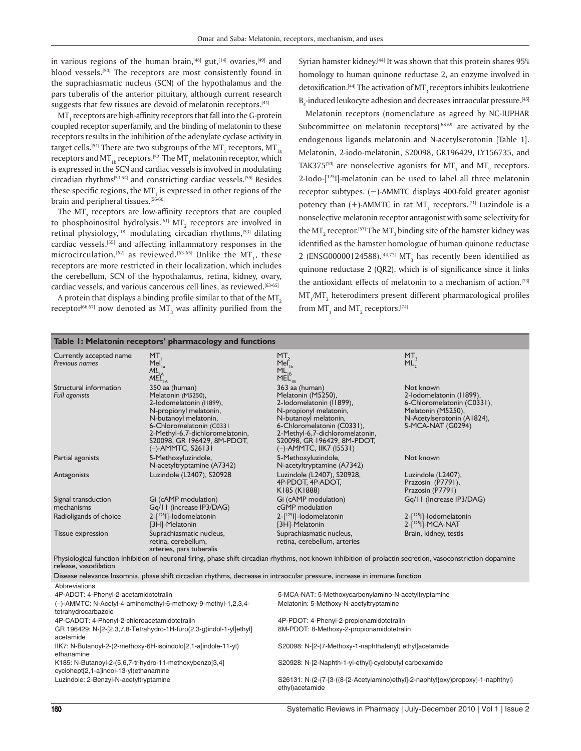in various regions of the human brain, $[48]$  gut, $[14]$  ovaries, $[49]$  and blood vessels.<sup>[50]</sup> The receptors are most consistently found in the suprachiasmatic nucleus (SCN) of the hypothalamus and the pars tuberalis of the anterior pituitary, although current research suggests that few tissues are devoid of melatonin receptors.<sup>[41]</sup>

 $\rm{MT}_{1}$  receptors are high-affinity receptors that fall into the G-protein coupled receptor superfamily, and the binding of melatonin to these receptors results in the inhibition of the adenylate cyclase activity in target cells.<sup>[51]</sup> There are two subgroups of the MT<sub>1</sub> receptors, MT<sub>1a</sub> receptors and MT $_{\rm 1b}$  receptors.<sup>[52]</sup> The MT $_{\rm 1}$  melatonin receptor, which is expressed in the SCN and cardiac vessels is involved in modulating circadian rhythms<sup>[53,54]</sup> and constricting cardiac vessels.<sup>[55]</sup> Besides these specific regions, the MT $_{\rm i}$  is expressed in other regions of the brain and peripheral tissues.[56-60]

The  $MT_2$  receptors are low-affinity receptors that are coupled to phosphoinositol hydrolysis. $^{[61]}$  MT $_{\rm 2}$  receptors are involved in retinal physiology,<sup>[18]</sup> modulating circadian rhythms,<sup>[53]</sup> dilating cardiac vessels, [55] and affecting inflammatory responses in the microcirculation,  $^{[62]}$  as reviewed.  $^{[63\text{-}65]}$  Unlike the MT<sub>1</sub>, these receptors are more restricted in their localization, which includes the cerebellum, SCN of the hypothalamus, retina, kidney, ovary, cardiac vessels, and various cancerous cell lines, as reviewed.<sup>[63-65]</sup>

A protein that displays a binding profile similar to that of the  $MT<sub>2</sub>$ receptor $^{[66,67]}$  now denoted as MT<sub>3</sub> was affinity purified from the

**Table 1: Melatonin receptors' pharmacology and functions**

Syrian hamster kidney.<sup>[44]</sup> It was shown that this protein shares 95% homology to human quinone reductase 2, an enzyme involved in detoxification. $^{[44]}$  The activation of MT<sub>3</sub> receptors inhibits leukotriene  $B_4$ -induced leukocyte adhesion and decreases intraocular pressure.<sup>[45]</sup>

Melatonin receptors (nomenclature as agreed by NC-IUPHAR Subcommittee on melatonin receptors)<sup>[68-69]</sup> are activated by the endogenous ligands melatonin and N-acetylserotonin [Table 1]. Melatonin, 2-iodo-melatonin, S20098, GR196429, LY156735, and TAK375<sup>[70]</sup> are nonselective agonists for  $MT_1$  and  $MT_2$  receptors. 2-Iodo-[125I]-melatonin can be used to label all three melatonin receptor subtypes. (−)-AMMTC displays 400-fold greater agonist potency than  $(+)$ -AMMTC in rat MT<sub>1</sub> receptors.<sup>[71]</sup> Luzindole is a nonselective melatonin receptor antagonist with some selectivity for the MT $_{\textrm{\tiny{\it 2}}}$  receptor.<sup>[53]</sup> The MT $_{\textrm{\tiny{\it 3}}}$  binding site of the hamster kidney was identified as the hamster homologue of human quinone reductase 2 (ENSG00000124588). $^{[44,72]}$  MT<sub>3</sub> has recently been identified as quinone reductase 2 (QR2), which is of significance since it links the antioxidant effects of melatonin to a mechanism of action.[73]  $\text{MT}_1/\text{MT}_2$  heterodimers present different pharmacological profiles from MT $_{_{\rm 1}}$  and MT $_{\rm _2}$  receptors.[74]

| Currently accepted name<br>Previous names                                                                                                                                            | MT.<br>Mel <sub>1a</sub><br>$ML_{IA}^{Ia}$                                                                                                                                                                                                | MT,<br>$MeI_{1b}$<br>ML DO<br>MEL <sub>IB</sub>                                                                                                                                                                                                | MT,<br>$ML_2^2$                                                                                                                              |  |  |  |  |
|--------------------------------------------------------------------------------------------------------------------------------------------------------------------------------------|-------------------------------------------------------------------------------------------------------------------------------------------------------------------------------------------------------------------------------------------|------------------------------------------------------------------------------------------------------------------------------------------------------------------------------------------------------------------------------------------------|----------------------------------------------------------------------------------------------------------------------------------------------|--|--|--|--|
| Structural information<br><b>Full agonists</b>                                                                                                                                       | 350 aa (human)<br>Melatonin (M5250),<br>2-lodomelatonin (11899),<br>N-propionyl melatonin,<br>N-butanoyl melatonin,<br>6-Chloromelatonin (C0331<br>2-Methyl-6,7-dichloromelatonin,<br>S20098, GR 196429, 8M-PDOT,<br>$(-)$ -AMMTC, S26131 | 363 aa (human)<br>Melatonin (M5250),<br>2-lodomelatonin (11899),<br>N-propionyl melatonin,<br>N-butanoyl melatonin,<br>6-Chloromelatonin (C0331),<br>2-Methyl-6,7-dichloromelatonin,<br>S20098, GR 196429, 8M-PDOT,<br>(-)-AMMTC, IIK7 (15531) | Not known<br>2-lodomelatonin (11899),<br>6-Chloromelatonin (C0331),<br>Melatonin (M5250),<br>N-Acetylserotonin (A1824),<br>5-MCA-NAT (G0294) |  |  |  |  |
| Partial agonists                                                                                                                                                                     | 5-Methoxyluzindole,<br>N-acetyltryptamine (A7342)                                                                                                                                                                                         | 5-Methoxyluzindole,<br>N-acetyltryptamine (A7342)                                                                                                                                                                                              | Not known                                                                                                                                    |  |  |  |  |
| Antagonists                                                                                                                                                                          | Luzindole (L2407), S20928                                                                                                                                                                                                                 | Luzindole (L2407), S20928,<br>4P-PDOT, 4P-ADOT,<br>K185 (K1888)                                                                                                                                                                                | Luzindole (L2407),<br>Prazosin (P7791),<br>Prazosin (P7791)                                                                                  |  |  |  |  |
| Signal transduction<br>mechanisms                                                                                                                                                    | Gi (cAMP modulation)<br>Gq/11 (increase IP3/DAG)                                                                                                                                                                                          | Gi (cAMP modulation)<br>cGMP modulation                                                                                                                                                                                                        | Gq/11 (Increase IP3/DAG)                                                                                                                     |  |  |  |  |
| Radioligands of choice                                                                                                                                                               | 2-[ <sup>125</sup> ]]-lodomelatonin<br>[3H]-Melatonin                                                                                                                                                                                     | 2-[ <sup>125</sup> ]]-lodomelatonin<br>[3H]-Melatonin                                                                                                                                                                                          | 2-[ <sup>125</sup> ]]-lodomelatonin<br>2-j <sup>125</sup> l]-MCA-NAT                                                                         |  |  |  |  |
| Tissue expression                                                                                                                                                                    | Suprachiasmatic nucleus,<br>retina, cerebellum,<br>arteries, pars tuberalis                                                                                                                                                               | Suprachiasmatic nucleus,<br>retina, cerebellum, arteries                                                                                                                                                                                       | Brain, kidney, testis                                                                                                                        |  |  |  |  |
| Physiological function Inhibition of neuronal firing, phase shift circadian rhythms, not known inhibition of prolactin secretion, vasoconstriction dopamine<br>release, vasodilation |                                                                                                                                                                                                                                           |                                                                                                                                                                                                                                                |                                                                                                                                              |  |  |  |  |
| Disease relevance Insomnia, phase shift circadian rhythms, decrease in intraocular pressure, increase in immune function                                                             |                                                                                                                                                                                                                                           |                                                                                                                                                                                                                                                |                                                                                                                                              |  |  |  |  |
| Abbreviations                                                                                                                                                                        |                                                                                                                                                                                                                                           |                                                                                                                                                                                                                                                |                                                                                                                                              |  |  |  |  |
| 4P-ADOT: 4-Phenyl-2-acetamidotetralin                                                                                                                                                |                                                                                                                                                                                                                                           | 5-MCA-NAT: 5-Methoxycarbonylamino-N-acetyltryptamine                                                                                                                                                                                           |                                                                                                                                              |  |  |  |  |
| (-)-AMMTC: N-Acetyl-4-aminomethyl-6-methoxy-9-methyl-1,2,3,4-<br>Melatonin: 5-Methoxy-N-acetyltryptamine<br>tetrahydrocarbazole                                                      |                                                                                                                                                                                                                                           |                                                                                                                                                                                                                                                |                                                                                                                                              |  |  |  |  |
| 4P-CADOT: 4-Phenyl-2-chloroacetamidotetralin                                                                                                                                         |                                                                                                                                                                                                                                           | 4P-PDOT: 4-Phenyl-2-propionamidotetralin                                                                                                                                                                                                       |                                                                                                                                              |  |  |  |  |
| GR 196429: N-[2-[2,3,7,8-Tetrahydro-1H-furo(2,3-g)indol-1-yl]ethyl]<br>acetamide                                                                                                     |                                                                                                                                                                                                                                           | 8M-PDOT: 8-Methoxy-2-propionamidotetralin                                                                                                                                                                                                      |                                                                                                                                              |  |  |  |  |
| IIK7: N-Butanoyl-2-(2-methoxy-6H-isoindolo[2,1-a]indole-11-yl)<br>ethanamine                                                                                                         |                                                                                                                                                                                                                                           | S20098: N-[2-(7-Methoxy-1-naphthalenyl) ethyl]acetamide                                                                                                                                                                                        |                                                                                                                                              |  |  |  |  |
| K185: N-Butanoyl-2-(5,6,7-trihydro-11-methoxybenzo[3,4]<br>cyclohept[2,1-a]indol-13-yl)ethanamine                                                                                    |                                                                                                                                                                                                                                           | S20928: N-[2-Naphth-1-yl-ethyl]-cyclobutyl carboxamide                                                                                                                                                                                         |                                                                                                                                              |  |  |  |  |
| Luzindole: 2-Benzyl-N-acetyltryptamine                                                                                                                                               |                                                                                                                                                                                                                                           | S26131: N-(2-{7-[3-({8-[2-Acetylamino)ethyl]-2-naphtyl}oxy)propoxy]-1-naphthyl}<br>ethyl)acetamide                                                                                                                                             |                                                                                                                                              |  |  |  |  |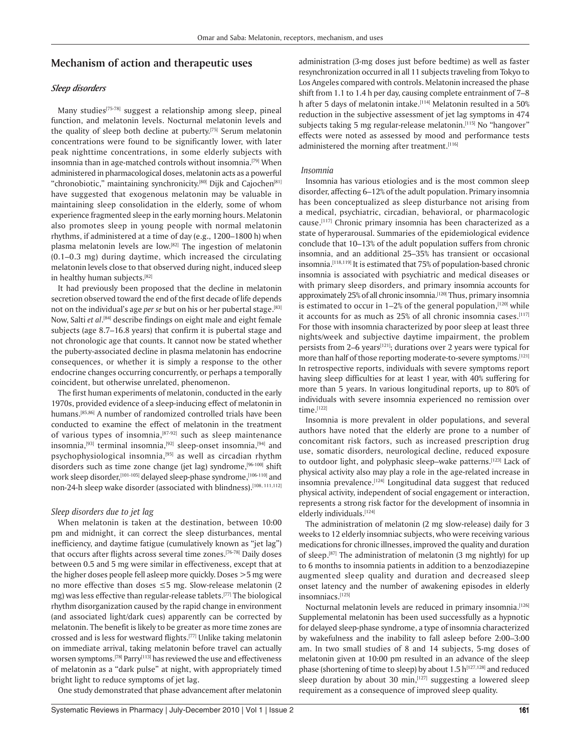# **Mechanism of action and therapeutic uses**

#### *Sleep disorders*

Many studies<sup>[75-78]</sup> suggest a relationship among sleep, pineal function, and melatonin levels. Nocturnal melatonin levels and the quality of sleep both decline at puberty.[75] Serum melatonin concentrations were found to be significantly lower, with later peak nighttime concentrations, in some elderly subjects with insomnia than in age-matched controls without insomnia.<sup>[79]</sup> When administered in pharmacological doses, melatonin acts as a powerful "chronobiotic," maintaining synchronicity.[80] Dijk and Cajochen<sup>[81]</sup> have suggested that exogenous melatonin may be valuable in maintaining sleep consolidation in the elderly, some of whom experience fragmented sleep in the early morning hours. Melatonin also promotes sleep in young people with normal melatonin rhythms, if administered at a time of day (e.g., 1200–1800 h) when plasma melatonin levels are low.[82] The ingestion of melatonin (0.1–0.3 mg) during daytime, which increased the circulating melatonin levels close to that observed during night, induced sleep in healthy human subjects.[82]

It had previously been proposed that the decline in melatonin secretion observed toward the end of the first decade of life depends not on the individual's age *per se* but on his or her pubertal stage.[83] Now, Salti et al.<sup>[84]</sup> describe findings on eight male and eight female subjects (age 8.7–16.8 years) that confirm it is pubertal stage and not chronologic age that counts. It cannot now be stated whether the puberty-associated decline in plasma melatonin has endocrine consequences, or whether it is simply a response to the other endocrine changes occurring concurrently, or perhaps a temporally coincident, but otherwise unrelated, phenomenon.

The first human experiments of melatonin, conducted in the early 1970s, provided evidence of a sleep-inducing effect of melatonin in humans.<sup>[85,86]</sup> A number of randomized controlled trials have been conducted to examine the effect of melatonin in the treatment of various types of insomnia, $[87-92]$  such as sleep maintenance insomnia, $[93]$  terminal insomnia, $[92]$  sleep-onset insomnia, $[94]$  and psychophysiological insomnia,<sup>[95]</sup> as well as circadian rhythm disorders such as time zone change (jet lag) syndrome, [96-100] shift work sleep disorder,<sup>[101-105]</sup> delayed sleep-phase syndrome,<sup>[106-110]</sup> and non-24-h sleep wake disorder (associated with blindness).<sup>[108, 111,112]</sup>

#### *Sleep disorders due to jet lag*

When melatonin is taken at the destination, between 10:00 pm and midnight, it can correct the sleep disturbances, mental inefficiency, and daytime fatigue (cumulatively known as "jet lag") that occurs after flights across several time zones.[76-78] Daily doses between 0.5 and 5 mg were similar in effectiveness, except that at the higher doses people fell asleep more quickly. Doses >5 mg were no more effective than doses ≤5 mg. Slow-release melatonin (2 mg) was less effective than regular-release tablets.[77] The biological rhythm disorganization caused by the rapid change in environment (and associated light/dark cues) apparently can be corrected by melatonin. The benefit is likely to be greater as more time zones are crossed and is less for westward flights.[77] Unlike taking melatonin on immediate arrival, taking melatonin before travel can actually worsen symptoms.<sup>[78]</sup> Parry<sup>[113]</sup> has reviewed the use and effectiveness of melatonin as a "dark pulse" at night, with appropriately timed bright light to reduce symptoms of jet lag.

One study demonstrated that phase advancement after melatonin

administration (3-mg doses just before bedtime) as well as faster resynchronization occurred in all 11 subjects traveling from Tokyo to Los Angeles compared with controls. Melatonin increased the phase shift from 1.1 to 1.4 h per day, causing complete entrainment of 7–8 h after 5 days of melatonin intake.<sup>[114]</sup> Melatonin resulted in a 50% reduction in the subjective assessment of jet lag symptoms in 474 subjects taking 5 mg regular-release melatonin.<sup>[115]</sup> No "hangover" effects were noted as assessed by mood and performance tests administered the morning after treatment.<sup>[116]</sup>

#### *Insomnia*

Insomnia has various etiologies and is the most common sleep disorder, affecting 6–12% of the adult population. Primary insomnia has been conceptualized as sleep disturbance not arising from a medical, psychiatric, circadian, behavioral, or pharmacologic cause.[117] Chronic primary insomnia has been characterized as a state of hyperarousal. Summaries of the epidemiological evidence conclude that 10–13% of the adult population suffers from chronic insomnia, and an additional 25–35% has transient or occasional insomnia.<sup>[118,119]</sup> It is estimated that 75% of population-based chronic insomnia is associated with psychiatric and medical diseases or with primary sleep disorders, and primary insomnia accounts for approximately 25% of all chronic insomnia.<sup>[120]</sup> Thus, primary insomnia is estimated to occur in  $1-2\%$  of the general population,  $[120]$  while it accounts for as much as 25% of all chronic insomnia cases.[117] For those with insomnia characterized by poor sleep at least three nights/week and subjective daytime impairment, the problem persists from 2–6 years<sup>[121]</sup>; durations over 2 years were typical for more than half of those reporting moderate-to-severe symptoms.<sup>[121]</sup> In retrospective reports, individuals with severe symptoms report having sleep difficulties for at least 1 year, with 40% suffering for more than 5 years. In various longitudinal reports, up to 80% of individuals with severe insomnia experienced no remission over time.[122]

Insomnia is more prevalent in older populations, and several authors have noted that the elderly are prone to a number of concomitant risk factors, such as increased prescription drug use, somatic disorders, neurological decline, reduced exposure to outdoor light, and polyphasic sleep-wake patterns.[123] Lack of physical activity also may play a role in the age-related increase in insomnia prevalence.<sup>[124]</sup> Longitudinal data suggest that reduced physical activity, independent of social engagement or interaction, represents a strong risk factor for the development of insomnia in elderly individuals.[124]

The administration of melatonin (2 mg slow-release) daily for 3 weeks to 12 elderly insomniac subjects, who were receiving various medications for chronic illnesses, improved the quality and duration of sleep.[87] The administration of melatonin (3 mg nightly) for up to 6 months to insomnia patients in addition to a benzodiazepine augmented sleep quality and duration and decreased sleep onset latency and the number of awakening episodes in elderly insomniacs.[125]

Nocturnal melatonin levels are reduced in primary insomnia.<sup>[126]</sup> Supplemental melatonin has been used successfully as a hypnotic for delayed sleep-phase syndrome, a type of insomnia characterized by wakefulness and the inability to fall asleep before 2:00–3:00 am. In two small studies of 8 and 14 subjects, 5-mg doses of melatonin given at 10:00 pm resulted in an advance of the sleep phase (shortening of time to sleep) by about 1.5 h[127,128] and reduced sleep duration by about 30 min,  $[127]$  suggesting a lowered sleep requirement as a consequence of improved sleep quality.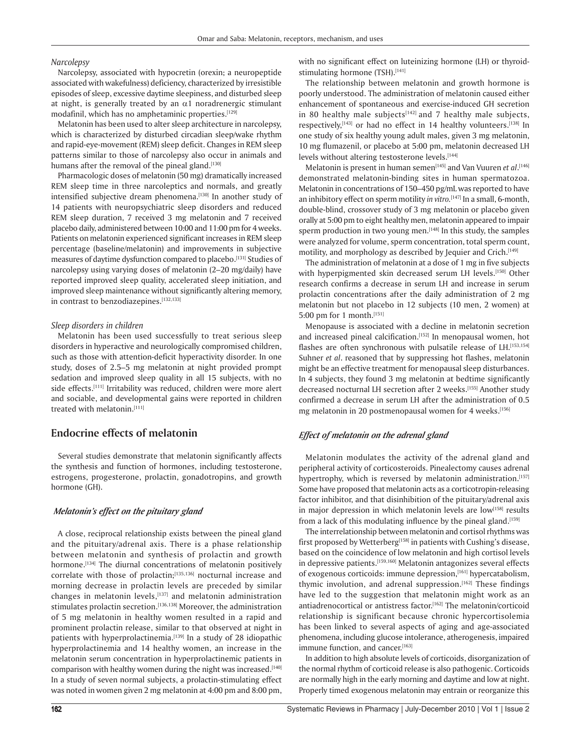#### *Narcolepsy*

Narcolepsy, associated with hypocretin (orexin; a neuropeptide associated with wakefulness) deficiency, characterized by irresistible episodes of sleep, excessive daytime sleepiness, and disturbed sleep at night, is generally treated by an  $\alpha$ 1 noradrenergic stimulant modafinil, which has no amphetaminic properties.<sup>[129]</sup>

Melatonin has been used to alter sleep architecture in narcolepsy, which is characterized by disturbed circadian sleep/wake rhythm and rapid-eye-movement (REM) sleep deficit. Changes in REM sleep patterns similar to those of narcolepsy also occur in animals and humans after the removal of the pineal gland.[130]

Pharmacologic doses of melatonin (50 mg) dramatically increased REM sleep time in three narcoleptics and normals, and greatly intensified subjective dream phenomena.[130] In another study of 14 patients with neuropsychiatric sleep disorders and reduced REM sleep duration, 7 received 3 mg melatonin and 7 received placebo daily, administered between 10:00 and 11:00 pm for 4 weeks. Patients on melatonin experienced significant increases in REM sleep percentage (baseline/melatonin) and improvements in subjective measures of daytime dysfunction compared to placebo.[131] Studies of narcolepsy using varying doses of melatonin (2–20 mg/daily) have reported improved sleep quality, accelerated sleep initiation, and improved sleep maintenance without significantly altering memory, in contrast to benzodiazepines.[132,133]

#### *Sleep disorders in children*

Melatonin has been used successfully to treat serious sleep disorders in hyperactive and neurologically compromised children, such as those with attention-deficit hyperactivity disorder. In one study, doses of 2.5–5 mg melatonin at night provided prompt sedation and improved sleep quality in all 15 subjects, with no side effects.<sup>[111]</sup> Irritability was reduced, children were more alert and sociable, and developmental gains were reported in children treated with melatonin.[111]

# **Endocrine effects of melatonin**

Several studies demonstrate that melatonin significantly affects the synthesis and function of hormones, including testosterone, estrogens, progesterone, prolactin, gonadotropins, and growth hormone (GH).

#### *Melatonin's effect on the pituitary gland*

A close, reciprocal relationship exists between the pineal gland and the pituitary/adrenal axis. There is a phase relationship between melatonin and synthesis of prolactin and growth hormone.<sup>[134]</sup> The diurnal concentrations of melatonin positively correlate with those of prolactin;<sup>[135,136]</sup> nocturnal increase and morning decrease in prolactin levels are preceded by similar changes in melatonin levels,[137] and melatonin administration stimulates prolactin secretion.<sup>[136,138]</sup> Moreover, the administration of 5 mg melatonin in healthy women resulted in a rapid and prominent prolactin release, similar to that observed at night in patients with hyperprolactinemia.<sup>[139]</sup> In a study of 28 idiopathic hyperprolactinemia and 14 healthy women, an increase in the melatonin serum concentration in hyperprolactinemic patients in comparison with healthy women during the night was increased.[140] In a study of seven normal subjects, a prolactin-stimulating effect was noted in women given 2 mg melatonin at 4:00 pm and 8:00 pm, with no significant effect on luteinizing hormone (LH) or thyroidstimulating hormone (TSH).[141]

The relationship between melatonin and growth hormone is poorly understood. The administration of melatonin caused either enhancement of spontaneous and exercise-induced GH secretion in 80 healthy male subjects $[142]$  and 7 healthy male subjects, respectively,  $[143]$  or had no effect in 14 healthy volunteers.  $[138]$  In one study of six healthy young adult males, given 3 mg melatonin, 10 mg flumazenil, or placebo at 5:00 pm, melatonin decreased LH levels without altering testosterone levels.[144]

Melatonin is present in human semen<sup>[145]</sup> and Van Vuuren et al.<sup>[146]</sup> demonstrated melatonin-binding sites in human spermatozoa. Melatonin in concentrations of 150–450 pg/mL was reported to have an inhibitory effect on sperm motility *in vitro.*[147] In a small, 6-month, double-blind, crossover study of 3 mg melatonin or placebo given orally at 5:00 pm to eight healthy men, melatonin appeared to impair sperm production in two young men.[148] In this study, the samples were analyzed for volume, sperm concentration, total sperm count, motility, and morphology as described by Jequier and Crich.<sup>[149]</sup>

The administration of melatonin at a dose of 1 mg in five subjects with hyperpigmented skin decreased serum LH levels.<sup>[150]</sup> Other research confirms a decrease in serum LH and increase in serum prolactin concentrations after the daily administration of 2 mg melatonin but not placebo in 12 subjects (10 men, 2 women) at 5:00 pm for 1 month.[151]

Menopause is associated with a decline in melatonin secretion and increased pineal calcification.<sup>[152]</sup> In menopausal women, hot flashes are often synchronous with pulsatile release of LH.[153,154] Suhner *et al*. reasoned that by suppressing hot flashes, melatonin might be an effective treatment for menopausal sleep disturbances. In 4 subjects, they found 3 mg melatonin at bedtime significantly decreased nocturnal LH secretion after 2 weeks.<sup>[155]</sup> Another study confirmed a decrease in serum LH after the administration of 0.5 mg melatonin in 20 postmenopausal women for 4 weeks.[156]

#### *Effect of melatonin on the adrenal gland*

Melatonin modulates the activity of the adrenal gland and peripheral activity of corticosteroids. Pinealectomy causes adrenal hypertrophy, which is reversed by melatonin administration.[157] Some have proposed that melatonin acts as a corticotropin-releasing factor inhibitor, and that disinhibition of the pituitary/adrenal axis in major depression in which melatonin levels are low<sup>[158]</sup> results from a lack of this modulating influence by the pineal gland.[159]

The interrelationship between melatonin and cortisol rhythms was first proposed by Wetterberg<sup>[158]</sup> in patients with Cushing's disease, based on the coincidence of low melatonin and high cortisol levels in depressive patients.<sup>[159,160]</sup> Melatonin antagonizes several effects of exogenous corticoids: immune depression, [161] hypercatabolism, thymic involution, and adrenal suppression.<sup>[162]</sup> These findings have led to the suggestion that melatonin might work as an antiadrenocortical or antistress factor.[162] The melatonin/corticoid relationship is significant because chronic hypercortisolemia has been linked to several aspects of aging and age-associated phenomena, including glucose intolerance, atherogenesis, impaired immune function, and cancer.[163]

In addition to high absolute levels of corticoids, disorganization of the normal rhythm of corticoid release is also pathogenic. Corticoids are normally high in the early morning and daytime and low at night. Properly timed exogenous melatonin may entrain or reorganize this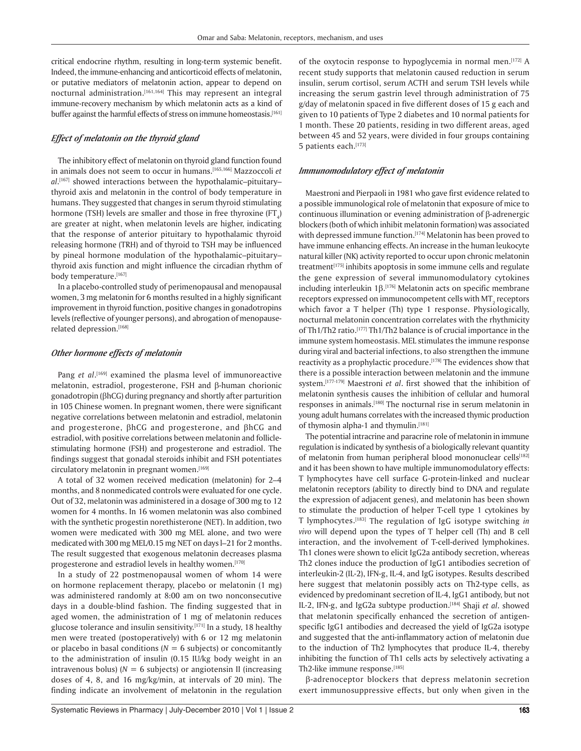critical endocrine rhythm, resulting in long-term systemic benefit. Indeed, the immune-enhancing and anticorticoid effects of melatonin, or putative mediators of melatonin action, appear to depend on nocturnal administration.[161,164] This may represent an integral immune-recovery mechanism by which melatonin acts as a kind of buffer against the harmful effects of stress on immune homeostasis.<sup>[161]</sup>

#### *Effect of melatonin on the thyroid gland*

The inhibitory effect of melatonin on thyroid gland function found in animals does not seem to occur in humans.[165,166] Mazzoccoli *et al*. [167] showed interactions between the hypothalamic–pituitary– thyroid axis and melatonin in the control of body temperature in humans. They suggested that changes in serum thyroid stimulating hormone (TSH) levels are smaller and those in free thyroxine (FT<sub>4</sub>) are greater at night, when melatonin levels are higher, indicating that the response of anterior pituitary to hypothalamic thyroid releasing hormone (TRH) and of thyroid to TSH may be influenced by pineal hormone modulation of the hypothalamic–pituitary– thyroid axis function and might influence the circadian rhythm of body temperature.[167]

In a placebo-controlled study of perimenopausal and menopausal women, 3 mg melatonin for 6 months resulted in a highly significant improvement in thyroid function, positive changes in gonadotropins levels (reflective of younger persons), and abrogation of menopauserelated depression.[168]

#### *Other hormone effects of melatonin*

Pang et al.<sup>[169]</sup> examined the plasma level of immunoreactive melatonin, estradiol, progesterone, FSH and β-human chorionic gonadotropin (βhCG) during pregnancy and shortly after parturition in 105 Chinese women. In pregnant women, there were significant negative correlations between melatonin and estradiol, melatonin and progesterone, βhCG and progesterone, and βhCG and estradiol, with positive correlations between melatonin and folliclestimulating hormone (FSH) and progesterone and estradiol. The findings suggest that gonadal steroids inhibit and FSH potentiates circulatory melatonin in pregnant women.[169]

A total of 32 women received medication (melatonin) for 2–4 months, and 8 nonmedicated controls were evaluated for one cycle. Out of 32, melatonin was administered in a dosage of 300 mg to 12 women for 4 months. In 16 women melatonin was also combined with the synthetic progestin norethisterone (NET). In addition, two women were medicated with 300 mg MEL alone, and two were medicated with 300 mg MEL/0.15 mg NET on days l–21 for 2 months. The result suggested that exogenous melatonin decreases plasma progesterone and estradiol levels in healthy women.[170]

In a study of 22 postmenopausal women of whom 14 were on hormone replacement therapy, placebo or melatonin (1 mg) was administered randomly at 8:00 am on two nonconsecutive days in a double-blind fashion. The finding suggested that in aged women, the administration of 1 mg of melatonin reduces glucose tolerance and insulin sensitivity.[171] In a study, 18 healthy men were treated (postoperatively) with 6 or 12 mg melatonin or placebo in basal conditions  $(N = 6$  subjects) or concomitantly to the administration of insulin (0.15 IU/kg body weight in an intravenous bolus)  $(N = 6$  subjects) or angiotensin II (increasing doses of 4, 8, and 16 mg/kg/min, at intervals of 20 min). The finding indicate an involvement of melatonin in the regulation of the oxytocin response to hypoglycemia in normal men.[172] A recent study supports that melatonin caused reduction in serum insulin, serum cortisol, serum ACTH and serum TSH levels while increasing the serum gastrin level through administration of 75 g/day of melatonin spaced in five different doses of 15 g each and given to 10 patients of Type 2 diabetes and 10 normal patients for 1 month. These 20 patients, residing in two different areas, aged between 45 and 52 years, were divided in four groups containing 5 patients each.[173]

#### *Immunomodulatory effect of melatonin*

Maestroni and Pierpaoli in 1981 who gave first evidence related to a possible immunological role of melatonin that exposure of mice to continuous illumination or evening administration of β-adrenergic blockers (both of which inhibit melatonin formation) was associated with depressed immune function.<sup>[174]</sup> Melatonin has been proved to have immune enhancing effects. An increase in the human leukocyte natural killer (NK) activity reported to occur upon chronic melatonin treatment<sup>[175]</sup> inhibits apoptosis in some immune cells and regulate the gene expression of several immunomodulatory cytokines including interleukin 1β.<sup>[176]</sup> Melatonin acts on specific membrane receptors expressed on immunocompetent cells with MT $_{\rm 2}$  receptors which favor a T helper (Th) type 1 response. Physiologically, nocturnal melatonin concentration correlates with the rhythmicity of Th1/Th2 ratio.<sup>[177]</sup> Th1/Th2 balance is of crucial importance in the immune system homeostasis. MEL stimulates the immune response during viral and bacterial infections, to also strengthen the immune reactivity as a prophylactic procedure.<sup>[178]</sup> The evidences show that there is a possible interaction between melatonin and the immune system.[177-179] Maestroni *et al*. first showed that the inhibition of melatonin synthesis causes the inhibition of cellular and humoral responses in animals.<sup>[180]</sup> The nocturnal rise in serum melatonin in young adult humans correlates with the increased thymic production of thymosin alpha-1 and thymulin.[181]

The potential intracrine and paracrine role of melatonin in immune regulation is indicated by synthesis of a biologically relevant quantity of melatonin from human peripheral blood mononuclear cells<sup>[182]</sup> and it has been shown to have multiple immunomodulatory effects: T lymphocytes have cell surface G-protein-linked and nuclear melatonin receptors (ability to directly bind to DNA and regulate the expression of adjacent genes), and melatonin has been shown to stimulate the production of helper T-cell type 1 cytokines by T lymphocytes.[183] The regulation of IgG isotype switching *in vivo* will depend upon the types of T helper cell (Th) and B cell interaction, and the involvement of T-cell-derived lymphokines. Th1 clones were shown to elicit IgG2a antibody secretion, whereas Th2 clones induce the production of IgG1 antibodies secretion of interleukin-2 (IL-2), IFN-g, IL-4, and IgG isotypes. Results described here suggest that melatonin possibly acts on Th2-type cells, as evidenced by predominant secretion of IL-4, IgG1 antibody, but not IL-2, IFN-g, and IgG2a subtype production.[184] Shaji *et al*. showed that melatonin specifically enhanced the secretion of antigenspecific IgG1 antibodies and decreased the yield of IgG2a isotype and suggested that the anti-inflammatory action of melatonin due to the induction of Th2 lymphocytes that produce IL-4, thereby inhibiting the function of Th1 cells acts by selectively activating a Th2-like immune response.[185]

β-adrenoceptor blockers that depress melatonin secretion exert immunosuppressive effects, but only when given in the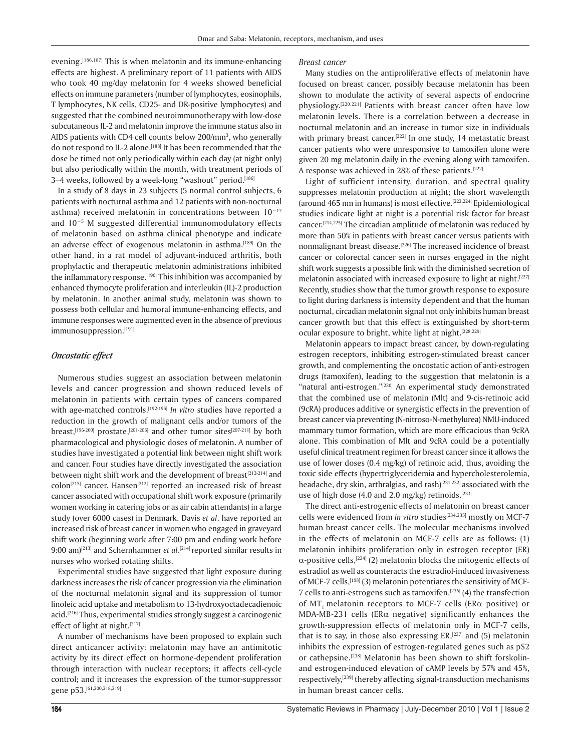evening.<sup>[186,187]</sup> This is when melatonin and its immune-enhancing effects are highest. A preliminary report of 11 patients with AIDS who took 40 mg/day melatonin for 4 weeks showed beneficial effects on immune parameters (number of lymphocytes, eosinophils, T lymphocytes, NK cells, CD25- and DR-positive lymphocytes) and suggested that the combined neuroimmunotherapy with low-dose subcutaneous IL-2 and melatonin improve the immune status also in AIDS patients with CD4 cell counts below  $200/\text{mm}^3$ , who generally do not respond to IL-2 alone.<sup>[188]</sup> It has been recommended that the dose be timed not only periodically within each day (at night only) but also periodically within the month, with treatment periods of 3–4 weeks, followed by a week-long "washout" period.<sup>[186]</sup>

In a study of 8 days in 23 subjects (5 normal control subjects, 6 patients with nocturnal asthma and 12 patients with non-nocturnal asthma) received melatonin in concentrations between 10−12 and 10−5 M suggested differential immunomodulatory effects of melatonin based on asthma clinical phenotype and indicate an adverse effect of exogenous melatonin in asthma.[189] On the other hand, in a rat model of adjuvant-induced arthritis, both prophylactic and therapeutic melatonin administrations inhibited the inflammatory response.<sup>[190]</sup> This inhibition was accompanied by enhanced thymocyte proliferation and interleukin (IL)-2 production by melatonin. In another animal study, melatonin was shown to possess both cellular and humoral immune-enhancing effects, and immune responses were augmented even in the absence of previous immunosuppression.[191]

#### *Oncostatic effect*

Numerous studies suggest an association between melatonin levels and cancer progression and shown reduced levels of melatonin in patients with certain types of cancers compared with age-matched controls.[192-195] *In vitro* studies have reported a reduction in the growth of malignant cells and/or tumors of the breast,<sup>[196-200]</sup> prostate,<sup>[201-206]</sup> and other tumor sites<sup>[207-211]</sup> by both pharmacological and physiologic doses of melatonin. A number of studies have investigated a potential link between night shift work and cancer. Four studies have directly investigated the association between night shift work and the development of breast<sup>[212-214]</sup> and  $colon$ l<sup>215]</sup> cancer. Hansen<sup>[212]</sup> reported an increased risk of breast cancer associated with occupational shift work exposure (primarily women working in catering jobs or as air cabin attendants) in a large study (over 6000 cases) in Denmark. Davis *et al*. have reported an increased risk of breast cancer in women who engaged in graveyard shift work (beginning work after 7:00 pm and ending work before 9:00 am)<sup>[213]</sup> and Schernhammer *et al*.<sup>[214]</sup> reported similar results in nurses who worked rotating shifts.

Experimental studies have suggested that light exposure during darkness increases the risk of cancer progression via the elimination of the nocturnal melatonin signal and its suppression of tumor linoleic acid uptake and metabolism to 13-hydroxyoctadecadienoic acid.[216] Thus, experimental studies strongly suggest a carcinogenic effect of light at night.[217]

A number of mechanisms have been proposed to explain such direct anticancer activity: melatonin may have an antimitotic activity by its direct effect on hormone-dependent proliferation through interaction with nuclear receptors; it affects cell-cycle control; and it increases the expression of the tumor-suppressor gene p53.[61,200,218,219]

#### *Breast cancer*

Many studies on the antiproliferative effects of melatonin have focused on breast cancer, possibly because melatonin has been shown to modulate the activity of several aspects of endocrine physiology.[220,221] Patients with breast cancer often have low melatonin levels. There is a correlation between a decrease in nocturnal melatonin and an increase in tumor size in individuals with primary breast cancer.<sup>[222]</sup> In one study, 14 metastatic breast cancer patients who were unresponsive to tamoxifen alone were given 20 mg melatonin daily in the evening along with tamoxifen. A response was achieved in 28% of these patients.[222]

Light of sufficient intensity, duration, and spectral quality suppresses melatonin production at night; the short wavelength (around 465 nm in humans) is most effective.[223,224] Epidemiological studies indicate light at night is a potential risk factor for breast cancer.[214,225] The circadian amplitude of melatonin was reduced by more than 50% in patients with breast cancer versus patients with nonmalignant breast disease.[226] The increased incidence of breast cancer or colorectal cancer seen in nurses engaged in the night shift work suggests a possible link with the diminished secretion of melatonin associated with increased exposure to light at night.<sup>[227]</sup> Recently, studies show that the tumor growth response to exposure to light during darkness is intensity dependent and that the human nocturnal, circadian melatonin signal not only inhibits human breast cancer growth but that this effect is extinguished by short-term ocular exposure to bright, white light at night.<sup>[228,229]</sup>

Melatonin appears to impact breast cancer, by down-regulating estrogen receptors, inhibiting estrogen-stimulated breast cancer growth, and complementing the oncostatic action of anti-estrogen drugs (tamoxifen), leading to the suggestion that melatonin is a "natural anti-estrogen."[230] An experimental study demonstrated that the combined use of melatonin (Mlt) and 9-cis-retinoic acid (9cRA) produces additive or synergistic effects in the prevention of breast cancer via preventing (N-nitroso-N-methylurea) NMU-induced mammary tumor formation, which are more efficacious than 9cRA alone. This combination of Mlt and 9cRA could be a potentially useful clinical treatment regimen for breast cancer since it allows the use of lower doses (0.4 mg/kg) of retinoic acid, thus, avoiding the toxic side effects (hypertriglyceridemia and hypercholesterolemia, headache, dry skin, arthralgias, and rash)<sup>[231,232]</sup> associated with the use of high dose (4.0 and 2.0 mg/kg) retinoids.<sup>[233]</sup>

The direct anti-estrogenic effects of melatonin on breast cancer cells were evidenced from *in vitro* studies<sup>[234,235]</sup> mostly on MCF-7 human breast cancer cells. The molecular mechanisms involved in the effects of melatonin on MCF-7 cells are as follows: (1) melatonin inhibits proliferation only in estrogen receptor (ER)  $\alpha$ -positive cells,<sup>[234]</sup> (2) melatonin blocks the mitogenic effects of estradiol as well as counteracts the estradiol-induced invasiveness of MCF-7 cells, <a>[198]</a> (3) melatonin potentiates the sensitivity of MCF-7 cells to anti-estrogens such as tamoxifen,<sup>[236]</sup> (4) the transfection of MT, melatonin receptors to MCF-7 cells (ER $\alpha$  positive) or MDA-MB-231 cells (ERα negative) significantly enhances the growth-suppression effects of melatonin only in MCF-7 cells, that is to say, in those also expressing  $ER$ ,  $[237]$  and (5) melatonin inhibits the expression of estrogen-regulated genes such as pS2 or cathepsine.<sup>[238]</sup> Melatonin has been shown to shift forskolinand estrogen-induced elevation of cAMP levels by 57% and 45%, respectively,<sup>[239]</sup> thereby affecting signal-transduction mechanisms in human breast cancer cells.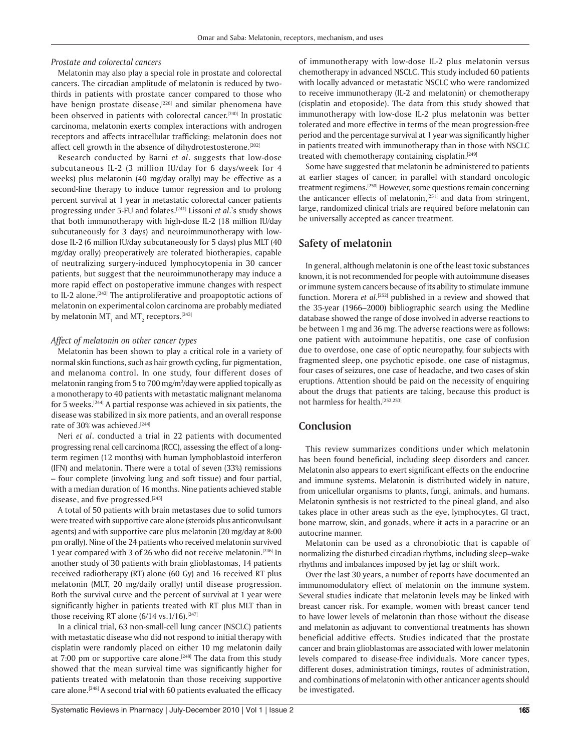*Prostate and colorectal cancers*

Melatonin may also play a special role in prostate and colorectal cancers. The circadian amplitude of melatonin is reduced by twothirds in patients with prostate cancer compared to those who have benign prostate disease,<sup>[226]</sup> and similar phenomena have been observed in patients with colorectal cancer.<sup>[240]</sup> In prostatic carcinoma, melatonin exerts complex interactions with androgen receptors and affects intracellular trafficking; melatonin does not affect cell growth in the absence of dihydrotestosterone.<sup>[202]</sup>

Research conducted by Barni *et al*. suggests that low-dose subcutaneous IL-2 (3 million IU/day for 6 days/week for 4 weeks) plus melatonin (40 mg/day orally) may be effective as a second-line therapy to induce tumor regression and to prolong percent survival at 1 year in metastatic colorectal cancer patients progressing under 5-FU and folates.[241] Lissoni *et al*.'s study shows that both immunotherapy with high-dose IL-2 (18 million IU/day subcutaneously for 3 days) and neuroimmunotherapy with lowdose IL-2 (6 million IU/day subcutaneously for 5 days) plus MLT (40 mg/day orally) preoperatively are tolerated biotherapies, capable of neutralizing surgery-induced lymphocytopenia in 30 cancer patients, but suggest that the neuroimmunotherapy may induce a more rapid effect on postoperative immune changes with respect to IL-2 alone.<sup>[242]</sup> The antiproliferative and proapoptotic actions of melatonin on experimental colon carcinoma are probably mediated by melatonin MT<sub>1</sub> and MT<sub>2</sub> receptors.<sup>[243]</sup>

#### *Affect of melatonin on other cancer types*

Melatonin has been shown to play a critical role in a variety of normal skin functions, such as hair growth cycling, fur pigmentation, and melanoma control. In one study, four different doses of melatonin ranging from 5 to 700 mg/m<sup>2</sup>/day were applied topically as a monotherapy to 40 patients with metastatic malignant melanoma for 5 weeks.[244] A partial response was achieved in six patients, the disease was stabilized in six more patients, and an overall response rate of 30% was achieved.<sup>[244]</sup>

Neri *et al*. conducted a trial in 22 patients with documented progressing renal cell carcinoma (RCC), assessing the effect of a longterm regimen (12 months) with human lymphoblastoid interferon (IFN) and melatonin. There were a total of seven (33%) remissions – four complete (involving lung and soft tissue) and four partial, with a median duration of 16 months. Nine patients achieved stable disease, and five progressed.<sup>[245]</sup>

A total of 50 patients with brain metastases due to solid tumors were treated with supportive care alone (steroids plus anticonvulsant agents) and with supportive care plus melatonin (20 mg/day at 8:00 pm orally). Nine of the 24 patients who received melatonin survived 1 year compared with 3 of 26 who did not receive melatonin.[246] In another study of 30 patients with brain glioblastomas, 14 patients received radiotherapy (RT) alone (60 Gy) and 16 received RT plus melatonin (MLT, 20 mg/daily orally) until disease progression. Both the survival curve and the percent of survival at 1 year were significantly higher in patients treated with RT plus MLT than in those receiving RT alone  $(6/14 \text{ vs. } 1/16)$ .<sup>[247]</sup>

In a clinical trial, 63 non-small-cell lung cancer (NSCLC) patients with metastatic disease who did not respond to initial therapy with cisplatin were randomly placed on either 10 mg melatonin daily at 7:00 pm or supportive care alone.<sup>[248]</sup> The data from this study showed that the mean survival time was significantly higher for patients treated with melatonin than those receiving supportive care alone.[248] A second trial with 60 patients evaluated the efficacy of immunotherapy with low-dose IL-2 plus melatonin versus chemotherapy in advanced NSCLC. This study included 60 patients with locally advanced or metastatic NSCLC who were randomized to receive immunotherapy (IL-2 and melatonin) or chemotherapy (cisplatin and etoposide). The data from this study showed that immunotherapy with low-dose IL-2 plus melatonin was better tolerated and more effective in terms of the mean progression-free period and the percentage survival at 1 year was significantly higher in patients treated with immunotherapy than in those with NSCLC treated with chemotherapy containing cisplatin.[249]

Some have suggested that melatonin be administered to patients at earlier stages of cancer, in parallel with standard oncologic treatment regimens.[250] However, some questions remain concerning the anticancer effects of melatonin, $[251]$  and data from stringent, large, randomized clinical trials are required before melatonin can be universally accepted as cancer treatment.

### **Safety of melatonin**

In general, although melatonin is one of the least toxic substances known, it is not recommended for people with autoimmune diseases or immune system cancers because of its ability to stimulate immune function. Morera *et al*. [252] published in a review and showed that the 35-year (1966–2000) bibliographic search using the Medline database showed the range of dose involved in adverse reactions to be between 1 mg and 36 mg. The adverse reactions were as follows: one patient with autoimmune hepatitis, one case of confusion due to overdose, one case of optic neuropathy, four subjects with fragmented sleep, one psychotic episode, one case of nistagmus, four cases of seizures, one case of headache, and two cases of skin eruptions. Attention should be paid on the necessity of enquiring about the drugs that patients are taking, because this product is not harmless for health.[252,253]

### **Conclusion**

This review summarizes conditions under which melatonin has been found beneficial, including sleep disorders and cancer. Melatonin also appears to exert significant effects on the endocrine and immune systems. Melatonin is distributed widely in nature, from unicellular organisms to plants, fungi, animals, and humans. Melatonin synthesis is not restricted to the pineal gland, and also takes place in other areas such as the eye, lymphocytes, GI tract, bone marrow, skin, and gonads, where it acts in a paracrine or an autocrine manner.

Melatonin can be used as a chronobiotic that is capable of normalizing the disturbed circadian rhythms, including sleep–wake rhythms and imbalances imposed by jet lag or shift work.

Over the last 30 years, a number of reports have documented an immunomodulatory effect of melatonin on the immune system. Several studies indicate that melatonin levels may be linked with breast cancer risk. For example, women with breast cancer tend to have lower levels of melatonin than those without the disease and melatonin as adjuvant to conventional treatments has shown beneficial additive effects. Studies indicated that the prostate cancer and brain glioblastomas are associated with lower melatonin levels compared to disease-free individuals. More cancer types, different doses, administration timings, routes of administration, and combinations of melatonin with other anticancer agents should be investigated.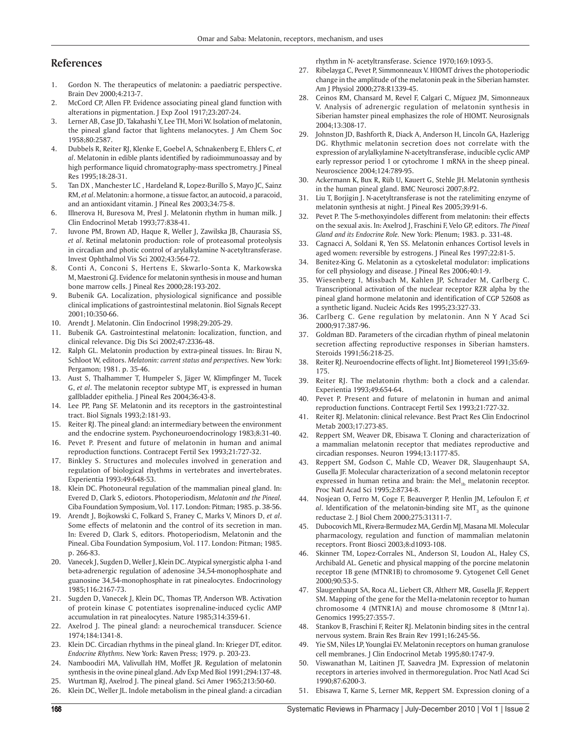# **References**

- 1. Gordon N. The therapeutics of melatonin: a paediatric perspective. Brain Dev 2000;4:213-7.
- 2. McCord CP, Allen FP. Evidence associating pineal gland function with alterations in pigmentation. J Exp Zool 1917;23:207-24.
- 3. Lerner AB, Case JD, Takahashi Y, Lee TH, Mori W. Isolation of melatonin, the pineal gland factor that lightens melanocytes. J Am Chem Soc 1958;80:2587.
- 4. Dubbels R, Reiter RJ, Klenke E, Goebel A, Schnakenberg E, Ehlers C, *et al*. Melatonin in edible plants identified by radioimmunoassay and by high performance liquid chromatography-mass spectrometry. J Pineal Res 1995;18:28-31.
- 5. Tan DX , Manchester LC , Hardeland R, Lopez-Burillo S, Mayo JC, Sainz RM, *et al*. Melatonin: a hormone, a tissue factor, an autocoid, a paracoid, and an antioxidant vitamin. J Pineal Res 2003;34:75-8.
- 6. Illnerova H, Buresova M, Presl J. Melatonin rhythm in human milk. J Clin Endocrinol Metab 1993;77:838-41.
- 7. Iuvone PM, Brown AD, Haque R, Weller J, Zawilska JB, Chaurasia SS, *et al*. Retinal melatonin production: role of proteasomal proteolysis in circadian and photic control of arylalkylamine N-acetyltransferase. Invest Ophthalmol Vis Sci 2002;43:564-72.
- 8. Conti A, Conconi S, Hertens E, Skwarlo-Sonta K, Markowska M, Maestroni GJ. Evidence for melatonin synthesis in mouse and human bone marrow cells. J Pineal Res 2000;28:193-202.
- 9. Bubenik GA. Localization, physiological significance and possible clinical implications of gastrointestinal melatonin. Biol Signals Recept 2001;10:350-66.
- 10. Arendt J. Melatonin. Clin Endocrinol 1998;29:205-29.
- 11. Bubenik GA. Gastrointestinal melatonin: localization, function, and clinical relevance. Dig Dis Sci 2002;47:2336-48.
- 12. Ralph GL. Melatonin production by extra-pineal tissues. In: Birau N, Schloot W, editors. *Melatonin: current status and perspectives.* New York: Pergamon; 1981. p. 35-46.
- 13. Aust S, Thalhammer T, Humpeler S, Jäger W, Klimpfinger M, Tucek G, et al. The melatonin receptor subtype MT<sub>1</sub> is expressed in human gallbladder epithelia. J Pineal Res 2004;36:43-8.
- 14. Lee PP, Pang SF. Melatonin and its receptors in the gastrointestinal tract. Biol Signals 1993;2:181-93.
- 15. Reiter RJ. The pineal gland: an intermediary between the environment and the endocrine system. Psychoneuroendocrinology 1983;8:31-40.
- 16. Pevet P. Present and future of melatonin in human and animal reproduction functions. Contracept Fertil Sex 1993;21:727-32.
- 17. Binkley S. Structures and molecules involved in generation and regulation of biological rhythms in vertebrates and invertebrates. Experientia 1993:49:648-53.
- 18. Klein DC. Photoneural regulation of the mammalian pineal gland. In: Evered D, Clark S, ediotors. Photoperiodism, *Melatonin and the Pineal.* Ciba Foundation Symposium, Vol. 117. London: Pitman; 1985. p. 38-56.
- 19. Arendt J, Bojkowski C, Folkard S, Franey C, Marks V, Minors D, *et al*. Some effects of melatonin and the control of its secretion in man. In: Evered D, Clark S, editors. Photoperiodism, Melatonin and the Pineal. Ciba Foundation Symposium, Vol. 117. London: Pitman; 1985. p. 266-83.
- 20. Vanecek J, Sugden D, Weller J, Klein DC. Atypical synergistic alpha 1-and beta-adrenergic regulation of adenosine 34,54-monophosphate and guanosine 34,54-monophosphate in rat pinealocytes. Endocrinology 1985;116:2167-73.
- 21. Sugden D, Vanecek J, Klein DC, Thomas TP, Anderson WB. Activation of protein kinase C potentiates isoprenaline-induced cyclic AMP accumulation in rat pinealocytes. Nature 1985;314:359-61.
- 22. Axelrod J. The pineal gland: a neurochemical transducer. Science 1974;184:1341-8.
- 23. Klein DC. Circadian rhythms in the pineal gland. In: Krieger DT, editor. *Endocrine Rhythms.* New York: Raven Press; 1979. p. 203-23.
- 24. Namboodiri MA, Valivullah HM, Moffet JR. Regulation of melatonin synthesis in the ovine pineal gland. Adv Exp Med Biol 1991;294:137-48.
- 25. Wurtman RJ, Axelrod J. The pineal gland. Sci Amer 1965;213:50-60.
- 26. Klein DC, Weller JL. Indole metabolism in the pineal gland: a circadian

rhythm in N- acetyltransferase. Science 1970;169:1093-5.

- 27. Ribelayga C, Pevet P, Simmonneaux V. HIOMT drives the photoperiodic change in the amplitude of the melatonin peak in the Siberian hamster. Am J Physiol 2000;278:R1339-45.
- 28. Ceinos RM, Chansard M, Revel F, Calgari C, Míguez JM, Simonneaux V. Analysis of adrenergic regulation of melatonin synthesis in Siberian hamster pineal emphasizes the role of HIOMT. Neurosignals 2004;13:308-17.
- 29. Johnston JD, Bashforth R, Diack A, Anderson H, Lincoln GA, Hazlerigg DG. Rhythmic melatonin secretion does not correlate with the expression of arylalkylamine N-acetyltransferase, inducible cyclic AMP early repressor period 1 or cytochrome 1 mRNA in the sheep pineal. Neuroscience 2004;124:789-95.
- 30. Ackermann K**,** Bux R**,** Rüb U**,** Kauert G, Stehle JH. Melatonin synthesis in the human pineal gland. BMC Neurosci 2007;8:P2.
- 31. Liu T, Borjigin J. N-acetyltransferase is not the ratelimiting enzyme of melatonin synthesis at night. J Pineal Res 2005;39:91-6.
- 32. Pevet P. The 5-methoxyindoles different from melatonin: their effects on the sexual axis. In: Axelrod J, Fraschini F, Velo GP, editors. *The Pineal Gland and its Endocrine Role.* New York: Plenum; 1983. p. 331-48.
- 33. Cagnacci A, Soldani R, Yen SS. Melatonin enhances Cortisol levels in aged women: reversible by estrogens. J Pineal Res 1997;22:81-5.
- 34. Benitez-King G. Melatonin as a cytoskeletal modulator: implications for cell physiology and disease. J Pineal Res 2006;40:1-9.
- 35. Wiesenberg I, Missbach M, Kahlen JP, Schrader M, Carlberg C. Transcriptional activation of the nuclear receptor RZR alpha by the pineal gland hormone melatonin and identification of CGP 52608 as a synthetic ligand. Nucleic Acids Res 1995;23:327-33.
- 36. Carlberg C. Gene regulation by melatonin. Ann N Y Acad Sci 2000;917:387-96.
- 37. Goldman BD. Parameters of the circadian rhythm of pineal melatonin secretion affecting reproductive responses in Siberian hamsters. Steroids 1991;56:218-25.
- 38. Reiter RJ. Neuroendocrine effects of light. Int J Biometereol 1991;35:69- 175.
- 39. Reiter RJ. The melatonin rhythm: both a clock and a calendar. Experientia 1993;49:654-64.
- 40. Pevet P. Present and future of melatonin in human and animal reproduction functions. Contracept Fertil Sex 1993;21:727-32.
- 41. Reiter RJ. Melatonin: clinical relevance. Best Pract Res Clin Endocrinol Metab 2003;17:273-85.
- 42. Reppert SM, Weaver DR, Ebisawa T. Cloning and characterization of a mammalian melatonin receptor that mediates reproductive and circadian responses. Neuron 1994;13:1177-85.
- 43. Reppert SM, Godson C, Mahle CD, Weaver DR, Slaugenhaupt SA, Gusella JF. Molecular characterization of a second melatonin receptor expressed in human retina and brain: the Mel $_{1b}$  melatonin receptor. Proc Natl Acad Sci 1995;2:8734-8.
- 44. Nosjean O, Ferro M, Coge F, Beauverger P, Henlin JM, Lefoulon F, *et*   $al.$  Identification of the melatonin-binding site  $MT<sub>3</sub>$  as the quinone reductase 2. J Biol Chem 2000;275:31311-7.
- 45. Dubocovich ML, Rivera-Bermudez MA, Gerdin MJ, Masana MI. Molecular pharmacology, regulation and function of mammalian melatonin receptors. Front Biosci 2003;8:d1093-108.
- 46. Skinner TM, Lopez-Corrales NL, Anderson SI, Loudon AL, Haley CS, Archibald AL. Genetic and physical mapping of the porcine melatonin receptor 1B gene (MTNR1B) to chromosome 9. Cytogenet Cell Genet 2000;90:53-5.
- 47. Slaugenhaupt SA, Roca AL, Liebert CB, Altherr MR, Gusella JF, Reppert SM. Mapping of the gene for the Mel1a-melatonin receptor to human chromosome 4 (MTNR1A) and mouse chromosome 8 (Mtnr1a). Genomics 1995;27:355-7.
- 48. Stankov B, Fraschini F, Reiter RJ. Melatonin binding sites in the central nervous system. Brain Res Brain Rev 1991;16:245-56.
- 49. Yie SM, Niles LP, Younglai EV. Melatonin receptors on human granulose cell membranes. J Clin Endocrinol Metab 1995;80:1747-9.
- 50. Viswanathan M, Laitinen JT, Saavedra JM. Expression of melatonin receptors in arteries involved in thermoregulation. Proc Natl Acad Sci 1990;87:6200-3.
- 51. Ebisawa T, Karne S, Lerner MR, Reppert SM. Expression cloning of a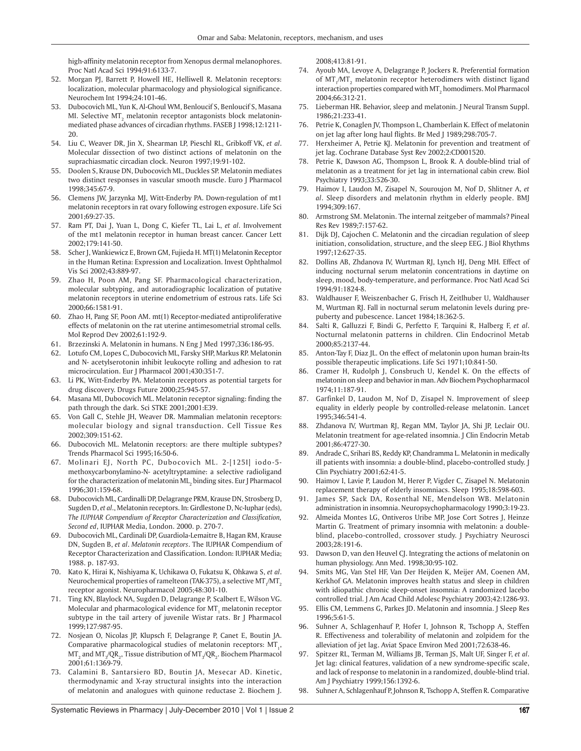high-affinity melatonin receptor from Xenopus dermal melanophores. Proc Natl Acad Sci 1994;91:6133-7.

- 52. Morgan PJ, Barrett P, Howell HE, Helliwell R. Melatonin receptors: localization, molecular pharmacology and physiological significance. Neurochem Int 1994;24:101-46.
- 53. Dubocovich ML, Yun K, Al-Ghoul WM, Benloucif S, Benloucif S, Masana MI. Selective MT $_{\rm_2}$  melatonin receptor antagonists block melatoninmediated phase advances of circadian rhythms. FASEB J 1998;12:1211- 20.
- 54. Liu C, Weaver DR, Jin X, Shearman LP, Pieschl RL, Gribkoff VK, *et al*. Molecular dissection of two distinct actions of melatonin on the suprachiasmatic circadian clock. Neuron 1997;19:91-102.
- 55. Doolen S, Krause DN, Dubocovich ML, Duckles SP. Melatonin mediates two distinct responses in vascular smooth muscle. Euro J Pharmacol 1998;345:67-9.
- 56. Clemens JW, Jarzynka MJ, Witt-Enderby PA. Down-regulation of mt1 melatonin receptors in rat ovary following estrogen exposure. Life Sci 2001;69:27-35.
- 57. Ram PT, Dai J, Yuan L, Dong C, Kiefer TL, Lai L, *et al*. Involvement of the mt1 melatonin receptor in human breast cancer. Cancer Lett 2002;179:141-50.
- 58. Scher J, Wankiewicz E, Brown GM, Fujieda H. MT(1) Melatonin Receptor in the Human Retina: Expression and Localization. Invest Ophthalmol Vis Sci 2002;43:889-97.
- 59. Zhao H, Poon AM, Pang SF. Pharmacological characterization, molecular subtyping, and autoradiographic localization of putative melatonin receptors in uterine endometrium of estrous rats. Life Sci 2000;66:1581-91.
- 60. Zhao H, Pang SF, Poon AM. mt(1) Receptor-mediated antiproliferative effects of melatonin on the rat uterine antimesometrial stromal cells*.*  Mol Reprod Dev 2002;61:192-9.
- 61. Brzezinski A. Melatonin in humans. N Eng J Med 1997;336:186-95.
- 62. Lotufo CM, Lopes C, Dubocovich ML, Farsky SHP, Markus RP. Melatonin and N- acetylserotonin inhibit leukocyte rolling and adhesion to rat microcirculation. Eur J Pharmacol 2001;430:351-7.
- 63. Li PK, Witt-Enderby PA. Melatonin receptors as potential targets for drug discovery. Drugs Future 2000;25:945-57.
- 64. Masana MI, Dubocovich ML. Melatonin receptor signaling: finding the path through the dark. Sci STKE 2001;2001:E39.
- 65. Von Gall C, Stehle JH, Weaver DR. Mammalian melatonin receptors: molecular biology and signal transduction. Cell Tissue Res 2002;309:151-62.
- 66. Dubocovich ML. Melatonin receptors: are there multiple subtypes? Trends Pharmacol Sci 1995;16:50-6.
- 67. Molinari EJ, North PC, Dubocovich ML. 2-[125I] iodo-5 methoxycarbonylamino-N- acetyltryptamine: a selective radioligand for the characterization of melatonin  $\text{ML}_2$  binding sites. Eur J Pharmacol 1996;301:159-68.
- 68. Dubocovich ML, Cardinalli DP, Delagrange PRM, Krause DN, Strosberg D, Sugden D, *et al*., Melatonin receptors. In: Girdlestone D, Nc-Iuphar (eds), *The IUPHAR Compendium of Receptor Characterization and Classification, Second ed*, IUPHAR Media, London. 2000. p. 270-7.
- 69. Dubocovich ML, Cardinali DP, Guardiola-Lemaitre B, Hagan RM, Krause DN, Sugden B, *et al*. *Melatonin receptors*. The IUPHAR Compendium of Receptor Characterization and Classification. London: IUPHAR Media; 1988. p. 187-93.
- 70. Kato K, Hirai K, Nishiyama K, Uchikawa O, Fukatsu K, Ohkawa S, *et al*. Neurochemical properties of ramelteon (TAK-375), a selective MT<sub>1</sub>/MT<sub>2</sub> receptor agonist. Neuropharmacol 2005;48:301-10.
- 71. Ting KN, Blaylock NA, Sugden D, Delagrange P, Scalbert E, Wilson VG. Molecular and pharmacological evidence for  $MT_{1}$  melatonin receptor subtype in the tail artery of juvenile Wistar rats. Br J Pharmacol 1999;127:987-95.
- 72. Nosjean O, Nicolas JP, Klupsch F, Delagrange P, Canet E, Boutin JA. Comparative pharmacological studies of melatonin receptors:  $MT_{1}$ ,  $\text{MT}_2$  and  $\text{MT}_3/\text{QR}_2$ , Tissue distribution of  $\text{MT}_3/\text{QR}_2$ . Biochem Pharmacol 2001;61:1369-79.
- 73. Calamini B, Santarsiero BD, Boutin JA, Mesecar AD. Kinetic, thermodynamic and X-ray structural insights into the interaction of melatonin and analogues with quinone reductase 2. Biochem J.

2008;413:81-91.

- 74. Ayoub MA, Levoye A, Delagrange P, Jockers R. Preferential formation of  $MT_{1}/MT_{2}$  melatonin receptor heterodimers with distinct ligand interaction properties compared with MT $_{\rm 2}$  homodimers. Mol Pharmacol 2004;66:312-21.
- 75. Lieberman HR. Behavior, sleep and melatonin. J Neural Transm Suppl. 1986;21:233-41.
- 76. Petrie K, Conaglen JV, Thompson L, Chamberlain K. Effect of melatonin on jet lag after long haul flights. Br Med J 1989;298:705-7.
- 77. Herxheimer A, Petrie KJ. Melatonin for prevention and treatment of jet lag. Cochrane Database Syst Rev 2002;2:CD001520.
- 78. Petrie K, Dawson AG, Thompson L, Brook R. A double-blind trial of melatonin as a treatment for jet lag in international cabin crew. Biol Psychiatry 1993;33:526-30.
- 79. Haimov I, Laudon M, Zisapel N, Souroujon M, Nof D, Shlitner A, *et al*. Sleep disorders and melatonin rhythm in elderly people. BMJ 1994;309:167.
- 80. Armstrong SM. Melatonin. The internal zeitgeber of mammals? Pineal Res Rev 1989;7:157-62.
- 81. Dijk DJ, Cajochen C. Melatonin and the circadian regulation of sleep initiation, consolidation, structure, and the sleep EEG. J Biol Rhythms 1997;12:627-35.
- 82. Dollins AB, Zhdanova IV, Wurtman RJ, Lynch HJ, Deng MH. Effect of inducing nocturnal serum melatonin concentrations in daytime on sleep, mood, body-temperature, and performance. Proc Natl Acad Sci 1994;91:1824-8.
- 83. Waldhauser F, Weiszenbacher G, Frisch H, Zeitlhuber U, Waldhauser M, Wurtman RJ. Fall in nocturnal serum melatonin levels during prepuberty and pubescence. Lancet 1984;18:362-5.
- 84. Salti R, Galluzzi F, Bindi G, Perfetto F, Tarquini R, Halberg F, *et al*. Nocturnal melatonin patterns in children. Clin Endocrinol Metab 2000;85:2137-44.
- 85. Anton-Tay F, Diaz JL. On the effect of melatonin upon human brain-Its possible therapeutic implications. Life Sci 1971;10:841-50.
- 86. Cramer H, Rudolph J, Consbruch U, Kendel K. On the effects of melatonin on sleep and behavior in man. Adv Biochem Psychopharmacol 1974;11:187-91.
- 87. Garfinkel D, Laudon M, Nof D, Zisapel N. Improvement of sleep equality in elderly people by controlled-release melatonin. Lancet 1995;346:541-4.
- 88. Zhdanova IV, Wurtman RJ, Regan MM, Taylor JA, Shi JP, Leclair OU. Melatonin treatment for age-related insomnia. J Clin Endocrin Metab 2001;86:4727-30.
- 89. Andrade C, Srihari BS, Reddy KP, Chandramma L. Melatonin in medically ill patients with insomnia: a double-blind, placebo-controlled study. J Clin Psychiatry 2001;62:41-5.
- 90. Haimov I, Lavie P, Laudon M, Herer P, Vigder C, Zisapel N. Melatonin replacement therapy of elderly insomniacs. Sleep 1995;18:598-603.
- 91. James SP, Sack DA, Rosenthal NE, Mendelson WB. Melatonin administration in insomnia. Neuropsychopharmacology 1990;3:19-23.
- 92. Almeida Montes LG, Ontiveros Uribe MP, Jose Cort Sotres J, Heinze Martin G. Treatment of primary insomnia with melatonin: a doubleblind, placebo-controlled, crossover study. J Psychiatry Neurosci 2003;28:191-6.
- 93. Dawson D, van den Heuvel CJ. Integrating the actions of melatonin on human physiology. Ann Med. 1998;30:95-102.
- 94. Smits MG, Van Stel HF, Van Der Heijden K, Meijer AM, Coenen AM, Kerkhof GA. Melatonin improves health status and sleep in children with idiopathic chronic sleep-onset insomnia: A randomized lacebo controlled trial. J Am Acad Child Adolesc Psychiatry 2003;42:1286-93.
- 95. Ellis CM, Lemmens G, Parkes JD. Melatonin and insomnia. J Sleep Res 1996;5:61-5.
- 96. Suhner A, Schlagenhauf P, Hofer I, Johnson R, Tschopp A, Steffen R. Effectiveness and tolerability of melatonin and zolpidem for the alleviation of jet lag. Aviat Space Environ Med 2001;72:638-46.
- 97. Spitzer RL, Terman M, Williams JB, Terman JS, Malt UF, Singer F, *et al*. Jet lag: clinical features, validation of a new syndrome-specific scale, and lack of response to melatonin in a randomized, double-blind trial. Am J Psychiatry 1999;156:1392-6.
- 98. Suhner A, Schlagenhauf P, Johnson R, Tschopp A, Steffen R. Comparative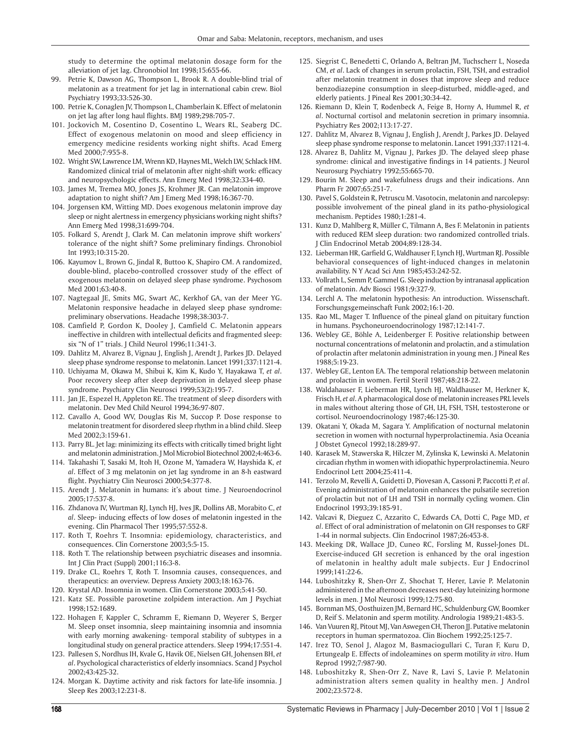study to determine the optimal melatonin dosage form for the alleviation of jet lag. Chronobiol Int 1998;15:655-66.

- 99. Petrie K, Dawson AG, Thompson L, Brook R. A double-blind trial of melatonin as a treatment for jet lag in international cabin crew. Biol Psychiatry 1993;33:526-30.
- 100. Petrie K, Conaglen JV, Thompson L, Chamberlain K. Effect of melatonin on jet lag after long haul flights. BMJ 1989;298:705-7.
- 101. Jockovich M, Cosentino D, Cosentino L, Wears RL, Seaberg DC. Effect of exogenous melatonin on mood and sleep efficiency in emergency medicine residents working night shifts. Acad Emerg Med 2000;7:955-8.
- 102. Wright SW, Lawrence LM, Wrenn KD, Haynes ML, Welch LW, Schlack HM. Randomized clinical trial of melatonin after night-shift work: efficacy and neuropsychologic effects. Ann Emerg Med 1998;32:334-40.
- 103. James M, Tremea MO, Jones JS, Krohmer JR. Can melatonin improve adaptation to night shift? Am J Emerg Med 1998;16:367-70.
- 104. Jorgensen KM, Witting MD. Does exogenous melatonin improve day sleep or night alertness in emergency physicians working night shifts? Ann Emerg Med 1998;31:699-704.
- 105. Folkard S, Arendt J, Clark M. Can melatonin improve shift workers' tolerance of the night shift? Some preliminary findings. Chronobiol Int 1993;10:315-20.
- 106. Kayumov L, Brown G, Jindal R, Buttoo K, Shapiro CM. A randomized, double-blind, placebo-controlled crossover study of the effect of exogenous melatonin on delayed sleep phase syndrome. Psychosom Med 2001;63:40-8.
- 107. Nagtegaal JE, Smits MG, Swart AC, Kerkhof GA, van der Meer YG. Melatonin responsive headache in delayed sleep phase syndrome: preliminary observations. Headache 1998;38:303-7.
- 108. Camfield P, Gordon K, Dooley J, Camfield C. Melatonin appears ineffective in children with intellectual deficits and fragmented sleep: six "N of 1" trials. J Child Neurol 1996;11:341-3.
- 109. Dahlitz M, Alvarez B, Vignau J, English J, Arendt J, Parkes JD. Delayed sleep phase syndrome response to melatonin. Lancet 1991;337:1121-4.
- 110. Uchiyama M, Okawa M, Shibui K, Kim K, Kudo Y, Hayakawa T, *et al*. Poor recovery sleep after sleep deprivation in delayed sleep phase syndrome. Psychiatry Clin Neurosci 1999;53(2):195-7.
- 111. Jan JE, Espezel H, Appleton RE. The treatment of sleep disorders with melatonin. Dev Med Child Neurol 1994;36:97-807.
- 112. Cavallo A, Good WV, Douglas Ris M, Succop P. Dose response to melatonin treatment for disordered sleep rhythm in a blind child. Sleep Med 2002;3:159-61.
- 113. Parry BL. Jet lag: minimizing its effects with critically timed bright light and melatonin administration. J Mol Microbiol Biotechnol 2002;4:463-6.
- 114. Takahashi T, Sasaki M, Itoh H, Ozone M, Yamadera W, Hayshida K, *et al*. Effect of 3 mg melatonin on jet lag syndrome in an 8-h eastward flight. Psychiatry Clin Neurosci 2000;54:377-8.
- 115. Arendt J. Melatonin in humans: it's about time. J Neuroendocrinol 2005;17:537-8.
- 116. Zhdanova IV, Wurtman RJ, Lynch HJ, Ives JR, Dollins AB, Morabito C, *et al*. Sleep- inducing effects of low doses of melatonin ingested in the evening. Clin Pharmacol Ther 1995;57:552-8.
- 117. Roth T, Roehrs T. Insomnia: epidemiology, characteristics, and consequences. Clin Cornerstone 2003;5:5-15.
- 118. Roth T. The relationship between psychiatric diseases and insomnia. Int J Clin Pract (Suppl) 2001;116:3-8.
- 119. Drake CL, Roehrs T, Roth T. Insomnia causes, consequences, and therapeutics: an overview. Depress Anxiety 2003;18:163-76.
- 120. Krystal AD. Insomnia in women. Clin Cornerstone 2003;5:41-50.
- 121. Katz SE. Possible paroxetine zolpidem interaction. Am J Psychiat 1998;152:1689.
- 122. Hohagen F, Kappler C, Schramm E, Riemann D, Weyerer S, Berger M. Sleep onset insomnia, sleep maintaining insomnia and insomnia with early morning awakening- temporal stability of subtypes in a longitudinal study on general practice attenders. Sleep 1994;17:551-4.
- 123. Pallesen S, Nordhus IH, Kvale G, Havik OE, Nielsen GH, Johensen BH, *et al*. Psychological characteristics of elderly insomniacs. Scand J Psychol 2002;43:425-32.
- 124. Morgan K. Daytime activity and risk factors for late-life insomnia. J Sleep Res 2003;12:231-8.
- 125. Siegrist C, Benedetti C, Orlando A, Beltran JM, Tuchscherr L, Noseda CM, *et al*. Lack of changes in serum prolactin, FSH, TSH, and estradiol after melatonin treatment in doses that improve sleep and reduce benzodiazepine consumption in sleep-disturbed, middle-aged, and elderly patients. J Pineal Res 2001;30:34-42.
- 126. Riemann D, Klein T, Rodenbeck A, Feige B, Horny A, Hummel R, *et al*. Nocturnal cortisol and melatonin secretion in primary insomnia. Psychiatry Res 2002;113:17-27.
- 127. Dahlitz M, Alvarez B, Vignau J, English J, Arendt J, Parkes JD. Delayed sleep phase syndrome response to melatonin. Lancet 1991;337:1121-4.
- 128. Alvarez B, Dahlitz M, Vignau J, Parkes JD. The delayed sleep phase syndrome: clinical and investigative findings in 14 patients. J Neurol Neurosurg Psychiatry 1992;55:665-70.
- 129. Bourin M. Sleep and wakefulness drugs and their indications**.** Ann Pharm Fr 2007;65:251-7.
- 130. Pavel S, Goldstein R, Petruscu M. Vasotocin, melatonin and narcolepsy: possible involvement of the pineal gland in its patho-physiological mechanism. Peptides 1980;1:281-4.
- 131. Kunz D, Mahlberg R, Müller C, Tilmann A, Bes F. Melatonin in patients with reduced REM sleep duration: two randomized controlled trials. J Clin Endocrinol Metab 2004;89:128-34.
- 132. Lieberman HR, Garfield G, Waldhauser F, Lynch HJ, Wurtman RJ. Possible behavioral consequences of light-induced changes in melatonin availability. N Y Acad Sci Ann 1985;453:242-52.
- 133. Vollrath L, Semm P, Gammel G. Sleep induction by intranasal application of melatonin. Adv Biosci 1981;9:327-9.
- 134. Lerchl A. The melatonin hypothesis: An introduction. Wissenschaft. Forschungsgemeinschaft Funk 2002;16:1-20.
- 135. Rao ML, Mager T. Influence of the pineal gland on pituitary function in humans. Psychoneuroendocrinology 1987;12:141-7.
- 136. Webley GE, Böhle A, Leidenberger F. Positive relationship between nocturnal concentrations of melatonin and prolactin, and a stimulation of prolactin after melatonin administration in young men. J Pineal Res 1988;5:19-23.
- 137. Webley GE, Lenton EA. The temporal relationship between melatonin and prolactin in women. Fertil Steril 1987;48:218-22.
- 138. Waldahauser F, Lieberman HR, Lynch HJ, Waldhauser M, Herkner K, Frisch H, *et al*. A pharmacological dose of melatonin increases PRL levels in males without altering those of GH, LH, FSH, TSH, testosterone or cortisol. Neuroendocrinology 1987;46:125-30.
- 139. Okatani Y, Okada M, Sagara Y. Amplification of nocturnal melatonin secretion in women with nocturnal hyperprolactinemia. Asia Oceania J Obstet Gynecol 1992;18:289-97.
- 140. Karasek M, Stawerska R, Hilczer M, Zylinska K, Lewinski A. Melatonin circadian rhythm in women with idiopathic hyperprolactinemia. Neuro Endocrinol Lett 2004;25:411-4.
- 141. Terzolo M, Revelli A, Guidetti D, Piovesan A, Cassoni P, Paccotti P, *et al*. Evening administration of melatonin enhances the pulsatile secretion of prolactin but not of LH and TSH in normally cycling women. Clin Endocrinol 1993;39:185-91.
- 142. Valcavi R, Dieguez C, Azzarito C, Edwards CA, Dotti C, Page MD, *et al*. Effect of oral administration of melatonin on GH responses to GRF 1-44 in normal subjects. Clin Endocrinol 1987;26:453-8.
- 143. Meeking DR, Wallace JD, Cuneo RC, Forsling M, Russel-Jones DL. Exercise-induced GH secretion is enhanced by the oral ingestion of melatonin in healthy adult male subjects. Eur J Endocrinol 1999;141:22-6.
- 144. Luboshitzky R, Shen-Orr Z, Shochat T, Herer, Lavie P. Melatonin administered in the afternoon decreases next-day luteinizing hormone levels in men. J Mol Neurosci 1999;12:75-80.
- 145. Bornman MS, Oosthuizen JM, Bernard HC, Schuldenburg GW, Boomker D, Reif S. Melatonin and sperm motility. Andrologia 1989;21:483-5.
- 146. Van Vuuren RJ, Pitout MJ, Van Aswegen CH, Theron JJ. Putative melatonin receptors in human spermatozoa. Clin Biochem 1992;25:125-7.
- 147. Irez TO, Senol J, Alagoz M, Basmaciogullari C, Turan F, Kuru D, Ertungealp E. Effects of indoleamines on sperm motility *in vitro*. Hum Reprod 1992;7:987-90.
- 148. Luboshitzky R, Shen-Orr Z, Nave R, Lavi S, Lavie P. Melatonin administration alters semen quality in healthy men. J Androl 2002;23:572-8.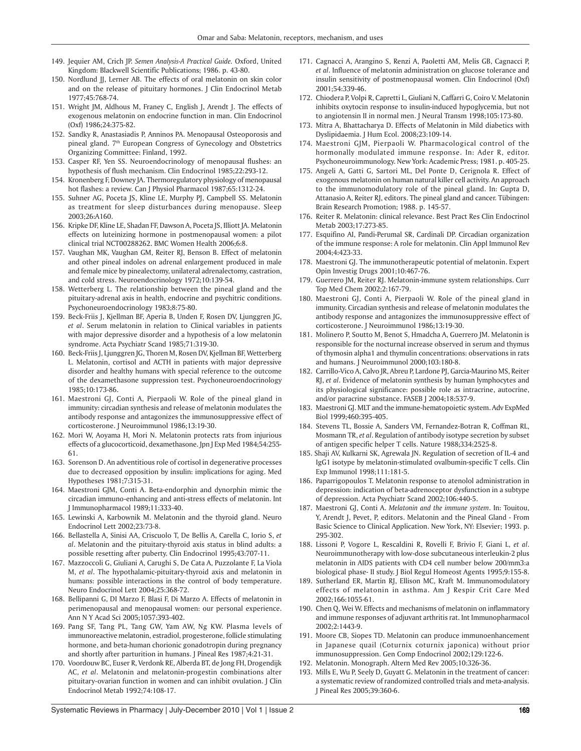- 149. Jequier AM, Crich JP. *Semen Analysis-A Practical Guide.* Oxford, United Kingdom: Blackwell Scientific Publications; 1986. p. 43-80.
- 150. Nordlund JJ, Lerner AB. The effects of oral melatonin on skin color and on the release of pituitary hormones. J Clin Endocrinol Metab 1977;45:768-74.
- 151. Wright JM, Aldhous M, Franey C, English J, Arendt J. The effects of exogenous melatonin on endocrine function in man. Clin Endocrinol (Oxf) 1986;24:375-82.
- 152. Sandky R, Anastasiadis P, Anninos PA. Menopausal Osteoporosis and pineal gland. 7<sup>th</sup> European Congress of Gynecology and Obstetrics Organizing Committee: Finland, 1992.
- 153. Casper RF, Yen SS. Neuroendocrinology of menopausal flushes: an hypothesis of flush mechanism. Clin Endocrinol 1985;22:293-12.
- 154. Kronenberg F, Downey JA. Thermoregulatory physiology of menopausal hot flashes: a review. Can J Physiol Pharmacol 1987;65:1312-24.
- 155. Suhner AG, Poceta JS, Kline LE, Murphy PJ, Campbell SS. Melatonin as treatment for sleep disturbances during menopause. Sleep 2003;26:A160.
- 156. Kripke DF, Kline LE, Shadan FF, Dawson A, Poceta JS, Illiott JA. Melatonin effects on luteinizing hormone in postmenopausal women: a pilot clinical trial NCT00288262. BMC Women Health 2006;6:8.
- 157. Vaughan MK, Vaughan GM, Reiter RJ, Benson B. Effect of melatonin and other pineal indoles on adrenal enlargement produced in male and female mice by pinealectomy, unilateral adrenalectomy, castration, and cold stress. Neuroendocrinology 1972;10:139-54.
- 158. Wetterberg L. The relationship between the pineal gland and the pituitary-adrenal axis in health, endocrine and psychitric conditions. Psychoneuroendocrinology 1983;8:75-80.
- 159. Beck-Friis J, Kjellman BF, Aperia B, Unden F, Rosen DV, Ljunggren JG, *et al*. Serum melatonin in relation to Clinical variables in patients with major depressive disorder and a hypothesis of a low melatonin syndrome. Acta Psychiatr Scand 1985;71:319-30.
- 160. Beck-Friis J, Ljunggren JG, Thoren M, Rosen DV, Kjellman BF, Wetterberg L. Melatonin, cortisol and ACTH in patients with major depressive disorder and healthy humans with special reference to the outcome of the dexamethasone suppression test. Psychoneuroendocrinology 1985;10:173-86.
- 161. Maestroni GJ, Conti A, Pierpaoli W. Role of the pineal gland in immunity: circadian synthesis and release of melatonin modulates the antibody response and antagonizes the immunosuppressive effect of corticosterone. J Neuroimmunol 1986;13:19-30.
- 162. Mori W, Aoyama H, Mori N. Melatonin protects rats from injurious effects of a glucocorticoid, dexamethasone. Jpn J Exp Med 1984;54:255- 61.
- 163. Sorenson D. An adventitious role of cortisol in degenerative processes due to decreased opposition by insulin: implications for aging. Med Hypotheses 1981;7:315-31.
- 164. Maestroni GJM, Conti A. Beta-endorphin and dynorphin mimic the circadian immuno-enhancing and anti-stress effects of melatonin. Int J Immunopharmacol 1989;11:333-40.
- 165. Lewinski A, Karbownik M. Melatonin and the thyroid gland. Neuro Endocrinol Lett 2002;23:73-8.
- 166. Bellastella A, Sinisi AA, Criscuolo T, De Bellis A, Carella C, Iorio S, *et al*. Melatonin and the pituitary-thyroid axis status in blind adults: a possible resetting after puberty. Clin Endocrinol 1995;43:707-11.
- 167. Mazzoccoli G, Giuliani A, Carughi S, De Cata A, Puzzolante F, La Viola M, *et al*. The hypothalamic-pituitary-thyroid axis and melatonin in humans: possible interactions in the control of body temperature. Neuro Endocrinol Lett 2004;25:368-72.
- 168. Bellipanni G, DI Marzo F, Blasi F, Di Marzo A. Effects of melatonin in perimenopausal and menopausal women: our personal experience. Ann N Y Acad Sci 2005;1057:393-402.
- 169. Pang SF, Tang PL, Tang GW, Yam AW, Ng KW. Plasma levels of immunoreactive melatonin, estradiol, progesterone, follicle stimulating hormone, and beta-human chorionic gonadotropin during pregnancy and shortly after parturition in humans. J Pineal Res 1987;4:21-31.
- 170. Voordouw BC, Euser R, Verdonk RE, Alberda BT, de Jong FH, Drogendijk AC, *et al*. Melatonin and melatonin-progestin combinations alter pituitary-ovarian function in women and can inhibit ovulation. J Clin Endocrinol Metab 1992;74:108-17.
- 171. Cagnacci A, Arangino S, Renzi A, Paoletti AM, Melis GB, Cagnacci P, *et al*. Influence of melatonin administration on glucose tolerance and insulin sensitivity of postmenopausal women. Clin Endocrinol (Oxf) 2001;54:339-46.
- 172. Chiodera P, Volpi R, Capretti L, Giuliani N, Caffarri G, Coiro V. Melatonin inhibits oxytocin response to insulin-induced hypoglycemia, but not to angiotensin II in normal men. J Neural Transm 1998;105:173-80.
- 173. Mitra A, Bhattacharya D. Effects of Melatonin in Mild diabetics with Dyslipidaemia. J Hum Ecol. 2008;23:109-14.
- 174. Maestroni GJM, Pierpaoli W. Pharmacological control of the hormonally modulated immune response. In: Ader R, editor. Psychoneuroimmunology. New York: Academic Press; 1981. p. 405-25.
- 175. Angeli A, Gatti G, Sartori ML, Del Ponte D, Cerignola R. Effect of exogenous melatonin on human natural killer cell activity. An approach to the immunomodulatory role of the pineal gland. In: Gupta D, Attanasio A, Reiter RJ, editors. The pineal gland and cancer. Tübingen: Brain Research Promotion; 1988. p. 145-57.
- 176. Reiter R. Melatonin: clinical relevance. Best Pract Res Clin Endocrinol Metab 2003;17:273-85.
- 177. Esquifino AI, Pandi-Perumal SR, Cardinali DP. Circadian organization of the immune response: A role for melatonin. Clin Appl Immunol Rev 2004;4:423-33.
- 178. Maestroni GJ. The immunotherapeutic potential of melatonin. Expert Opin Investig Drugs 2001;10:467-76.
- 179. Guerrero JM, Reiter RJ. Melatonin-immune system relationships. Curr Top Med Chem 2002;2:167-79.
- 180. Maestroni GJ, Conti A, Pierpaoli W. Role of the pineal gland in immunity. Circadian synthesis and release of melatonin modulates the antibody response and antagonizes the immunosuppressive effect of corticosterone. J Neuroimmunol 1986;13:19-30.
- 181. Molinero P, Soutto M, Benot S, Hmadcha A, Guerrero JM. Melatonin is responsible for the nocturnal increase observed in serum and thymus of thymosin alpha1 and thymulin concentrations: observations in rats and humans. J Neuroimmunol 2000;103:180-8.
- 182. Carrillo-Vico A, Calvo JR, Abreu P, Lardone PJ, Garcia-Maurino MS, Reiter RJ, *et al*. Evidence of melatonin synthesis by human lymphocytes and its physiological significance: possible role as intracrine, autocrine, and/or paracrine substance. FASEB J 2004;18:537-9.
- 183. Maestroni GJ. MLT and the immune-hematopoietic system. Adv ExpMed Biol 1999;460:395-405.
- 184. Stevens TL, Bossie A, Sanders VM, Fernandez-Botran R, Coffman RL, Mosmann TR, *et al*. Regulation of antibody isotype secretion by subset of antigen specific helper T cells. Nature 1988;334:2525-8.
- 185. Shaji AV, Kulkarni SK, Agrewala JN. Regulation of secretion of IL-4 and IgG1 isotype by melatonin-stimulated ovalbumin-specific T cells. Clin Exp Immunol 1998;111:181-5.
- 186. Paparrigopoulos T. Melatonin response to atenolol administration in depression: indication of beta-adrenoceptor dysfunction in a subtype of depression. Acta Psychiatr Scand 2002;106:440-5.
- 187. Maestroni GJ, Conti A. *Melatonin and the immune system*. In: Touitou, Y, Arendt J, Pevet, P, editors. Melatonin and the Pineal Gland - From Basic Science to Clinical Application. New York, NY: Elsevier; 1993. p. 295-302.
- 188. Lissoni P, Vogore L, Rescaldini R, Rovelli F, Brivio F, Giani L, *et al*. Neuroimmunotherapy with low-dose subcutaneous interleukin-2 plus melatonin in AIDS patients with CD4 cell number below 200/mm3:a biological phase- II study. J Biol Regul Homeost Agents 1995;9:155-8.
- 189. Sutherland ER, Martin RJ, Ellison MC, Kraft M. Immunomodulatory effects of melatonin in asthma. Am J Respir Crit Care Med 2002;166:1055-61.
- 190. Chen Q, Wei W. Effects and mechanisms of melatonin on inflammatory and immune responses of adjuvant arthritis rat. Int Immunopharmacol 2002;2:1443-9.
- 191. Moore CB, Siopes TD. Melatonin can produce immunoenhancement in Japanese quail (Coturnix coturnix japonica) without prior immunosuppression. Gen Comp Endocrinol 2002;129:122-6.
- 192. Melatonin. Monograph. Altern Med Rev 2005;10:326-36.
- 193. Mills E, Wu P, Seely D, Guyatt G. Melatonin in the treatment of cancer: a systematic review of randomized controlled trials and meta-analysis. J Pineal Res 2005;39:360-6.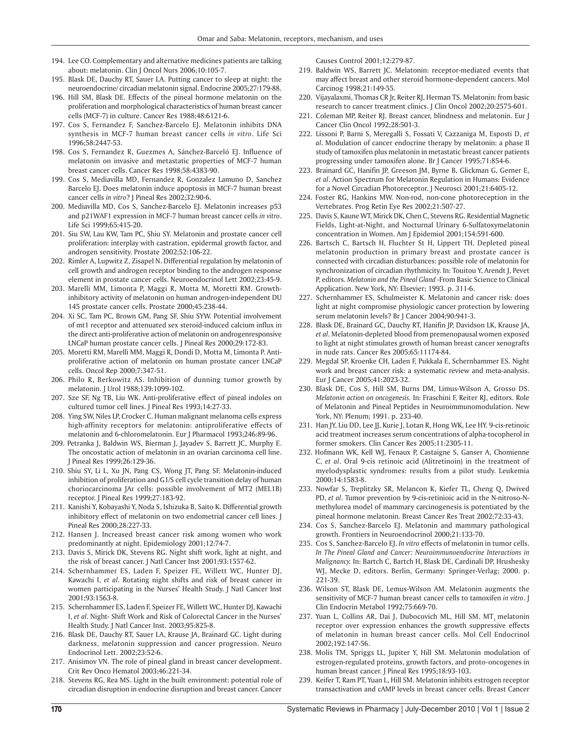- 194. Lee CO. Complementary and alternative medicines patients are talking about: melatonin. Clin J Oncol Nurs 2006;10:105-7.
- 195. Blask DE, Dauchy RT, Sauer LA. Putting cancer to sleep at night: the neuroendocrine/ circadian melatonin signal. Endocrine 2005;27:179-88.
- 196. Hill SM, Blask DE. Effects of the pineal hormone melatonin on the proliferation and morphological characteristics of human breast cancer cells (MCF-7) in culture. Cancer Res 1988;48:6121-6.
- 197. Cos S, Fernandez F, Sanchez-Barcelo EJ. Melatonin inhibits DNA synthesis in MCF-7 human breast cancer cells *in vitro*. Life Sci 1996;58:2447-53.
- 198. Cos S, Fernandez R, Guezmes A, Sánchez-Barceló EJ. Influence of melatonin on invasive and metastatic properties of MCF-7 human breast cancer cells. Cancer Res 1998;58:4383-90.
- 199. Cos S, Mediavilla MD, Fernandez R, Gonzalez Lamuno D, Sanchez Barcelo EJ. Does melatonin induce apoptosis in MCF-7 human breast cancer cells *in vitro*? J Pineal Res 2002;32:90-6.
- 200. Mediavilla MD, Cos S, Sanchez-Barcelo EJ. Melatonin increases p53 and p21WAF1 expression in MCF-7 human breast cancer cells *in vitro*. Life Sci 1999;65:415-20.
- 201. Siu SW, Lau KW, Tam PC, Shiu SY. Melatonin and prostate cancer cell proliferation: interplay with castration, epidermal growth factor, and androgen sensitivity. Prostate 2002;52:106-22.
- 202. Rimler A, Lupwitz Z, Zisapel N. Differential regulation by melatonin of cell growth and androgen receptor binding to the androgen response element in prostate cancer cells. Neuroendocrinol Lett 2002;23:45-9.
- 203. Marelli MM, Limonta P, Maggi R, Motta M, Moretti RM. Growthinhibitory activity of melatonin on human androgen-independent DU 145 prostate cancer cells. Prostate 2000;45:238-44.
- 204. Xi SC, Tam PC, Brown GM, Pang SF, Shiu SYW. Potential involvement of mt1 receptor and attenuated sex steroid-induced calcium influx in the direct anti-proliferative action of melatonin on androgenresponsive LNCaP human prostate cancer cells. J Pineal Res 2000;29:172-83.
- 205. Moretti RM, Marelli MM, Maggi R, Dondi D, Motta M, Limonta P. Antiproliferative action of melatonin on human prostate cancer LNCaP cells. Oncol Rep 2000;7:347-51.
- 206. Philo R, Berkowitz AS. Inhibition of dunning tumor growth by melatonin. J Urol 1988;139:1099-102.
- 207. Sze SF, Ng TB, Liu WK. Anti-proliferative effect of pineal indoles on cultured tumor cell lines. J Pineal Res 1993;14:27-33.
- 208. Ying SW, Niles LP, Crocker C. Human malignant melanoma cells express high-affinity receptors for melatonin: antiproliferative effects of melatonin and 6-chloromelatonin. Eur J Pharmacol 1993;246:89-96.
- 209. Petranka J, Baldwin WS, Bierman J, Jayadev S, Barrett JC, Murphy E. The oncostatic action of melatonin in an ovarian carcinoma cell line. J Pineal Res 1999;26:129-36.
- 210. Shiu SY, Li L, Xu JN, Pang CS, Wong JT, Pang SF. Melatonin-induced inhibition of proliferation and G1/S cell cycle transition delay of human choriocarcinoma JAr cells: possible involvement of MT2 (MEL1B) receptor. J Pineal Res 1999;27:183-92.
- 211. Kanishi Y, Kobayashi Y, Noda S, Ishizuka B, Saito K. Differential growth inhibitory effect of melatonin on two endometrial cancer cell lines. J Pineal Res 2000;28:227-33.
- 212. Hansen J. Increased breast cancer risk among women who work predominantly at night. Epidemiology 2001;12:74-7.
- 213. Davis S, Mirick DK, Stevens RG. Night shift work, light at night, and the risk of breast cancer. J Natl Cancer Inst 2001;93:1557-62.
- 214. Schernhammer ES, Laden F, Speizer FE, Willett WC, Hunter DJ, Kawachi I, *et al*. Rotating night shifts and risk of breast cancer in women participating in the Nurses' Health Study. J Natl Cancer Inst 2001;93:1563-8.
- 215. Schernhammer ES, Laden F, Speizer FE, Willett WC, Hunter DJ, Kawachi I, *et al*. Night- Shift Work and Risk of Colorectal Cancer in the Nurses' Health Study. J Natl Cancer Inst. 2003;95:825-8.
- 216. Blask DE, Dauchy RT, Sauer LA, Krause JA, Brainard GC. Light during darkness, melatonin suppression and cancer progression. Neuro Endocrinol Lett. 2002;23:52-6.
- 217. Anisimov VN. The role of pineal gland in breast cancer development. Crit Rev Onco Hematol 2003;46:221-34.
- 218. Stevens RG, Rea MS. Light in the built environment: potential role of circadian disruption in endocrine disruption and breast cancer. Cancer

Causes Control 2001;12:279-87.

- 219. Baldwin WS, Barrett JC. Melatonin: receptor-mediated events that may affect breast and other steroid hormone-dependent cancers. Mol Carcinog 1998;21:149-55.
- 220. Vijayalaxmi, Thomas CR Jr, Reiter RJ, Herman TS. Melatonin: from basic research to cancer treatment clinics. J Clin Oncol 2002;20:2575-601.
- 221. Coleman MP, Reiter RJ. Breast cancer, blindness and melatonin. Eur J Cancer Clin Oncol 1992;28:501-3.
- 222. Lissoni P, Barni S, Meregalli S, Fossati V, Cazzaniga M, Esposti D, *et al*. Modulation of cancer endocrine therapy by melatonin: a phase II study of tamoxifen plus melatonin in metastatic breast cancer patients progressing under tamoxifen alone. Br J Cancer 1995;71:854-6.
- 223. Brainard GC, Hanifin JP, Greeson JM, Byrne B, Glickman G, Gerner E, *et al*. Action Spectrum for Melatonin Regulation in Humans: Evidence for a Novel Circadian Photoreceptor. J Neurosci 2001;21:6405-12.
- 224. Foster RG, Hankins MW. Non-rod, non-cone photoreception in the Vertebrates. Prog Retin Eye Res 2002;21:507-27.
- 225. Davis S, Kaune WT, Mirick DK, Chen C, Stevens RG. Residential Magnetic Fields, Light-at-Night, and Nocturnal Urinary 6-Sulfatoxymelatonin concentration in Women. Am J Epidemiol 2001;154:591-600.
- 226. Bartsch C, Bartsch H, Fluchter St H, Lippert TH. Depleted pineal melatonin production in primary breast and prostate cancer is connected with circadian disturbances: possible role of melatonin for synchronization of circadian rhythmicity. In: Touitou Y, Arendt J, Pevet P, editors. *Melatonin and the Pineal Gland* -From Basic Science to Clinical Application. New York, NY: Elsevier; 1993. p. 311-6.
- 227. Schernhammer ES, Schulmeister K. Melatonin and cancer risk: does light at night compromise physiologic cancer protection by lowering serum melatonin levels? Br J Cancer 2004;90:941-3.
- 228. Blask DE, Brainard GC, Dauchy RT, Hanifin JP, Davidson LK, Krause JA, *et al*. Melatonin-depleted blood from premenopausal women exposed to light at night stimulates growth of human breast cancer xenografts in nude rats. Cancer Res 2005;65:11174-84.
- 229. Megdal SP, Kroenke CH, Laden F, Pukkala E, Schernhammer ES. Night work and breast cancer risk: a systematic review and meta-analysis. Eur J Cancer 2005;41:2023-32.
- 230. Blask DE, Cos S, Hill SM, Burns DM, Limus-Wilson A, Grosso DS. *Melatonin action on oncogenesis.* In: Fraschini F, Reiter RJ, editors. Role of Melatonin and Pineal Peptides in Neuroimmunomodulation. New York, NY: Plenum; 1991. p. 233-40.
- 231. Han JY, Liu DD, Lee JJ, Kurie J, Lotan R, Hong WK, Lee HY. 9-cis-retinoic acid treatment increases serum concentrations of alpha-tocopherol in former smokers. Clin Cancer Res 2005;11:2305-11.
- 232. Hofmann WK, Kell WJ, Fenaux P, Castaigne S, Ganser A, Chomienne C, *et al*. Oral 9-cis retinoic acid (Alitretinoin) in the treatment of myelodysplastic syndromes: results from a pilot study. Leukemia 2000;14:1583-8.
- 233. Nowfar S, Treplitzky SR, Melancon K, Kiefer TL, Cheng Q, Dwived PD, *et al*. Tumor prevention by 9-cis-retinioic acid in the N-nitroso-Nmethylurea model of mammary carcinogenesis is potentiated by the pineal hormone melatonin. Breast Cancer Res Treat 2002;72:33-43.
- 234. Cos S, Sanchez-Barcelo EJ. Melatonin and mammary pathological growth. Frontiers in Neuroendocrinol 2000;21:133-70.
- 235. Cos S, Sanchez-Barcelo EJ. *In vitro* effects of melatonin in tumor cells. *In The Pineal Gland and Cancer: Neuroimmunoendocrine Interactions in Malignancy.* In: Bartch C, Bartch H, Blask DE, Cardinali DP, Hrushesky WJ, Mecke D, editors. Berlin, Germany: Springer-Verlag; 2000. p. 221-39.
- 236. Wilson ST, Blask DE, Lemus-Wilson AM. Melatonin augments the sensitivity of MCF-7 human breast cancer cells to tamoxifen *in vitro*. J Clin Endocrin Metabol 1992;75:669-70.
- 237. Yuan L, Collins AR, Dai J, Dubocovich ML, Hill SM. MT, melatonin receptor over expression enhances the growth suppressive effects of melatonin in human breast cancer cells. Mol Cell Endocrinol 2002;192:147-56.
- 238. Molis TM, Spriggs LL, Jupiter Y, Hill SM. Melatonin modulation of estrogen-regulated proteins, growth factors, and proto-oncogenes in human breast cancer. J Pineal Res 1995;18:93-103.
- 239. Keifer T, Ram PT, Yuan L, Hill SM. Melatonin inhibits estrogen receptor transactivation and cAMP levels in breast cancer cells. Breast Cancer